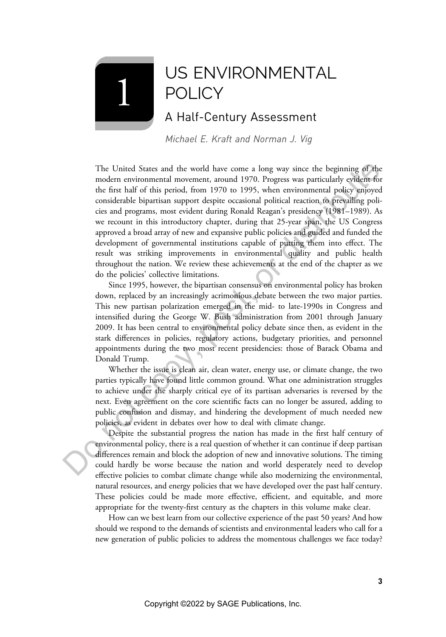

# US ENVIRONMENTAL<br>1 POLICY **POLICY**

# A Half-Century Assessment

Michael E. Kraft and Norman J. Vig

The United States and the world have come a long way since the beginning of the modern environmental movement, around 1970. Progress was particularly evident for the first half of this period, from 1970 to 1995, when environmental policy enjoyed considerable bipartisan support despite occasional political reaction to prevailing policies and programs, most evident during Ronald Reagan's presidency (1981–1989). As we recount in this introductory chapter, during that 25-year span, the US Congress approved a broad array of new and expansive public policies and guided and funded the development of governmental institutions capable of putting them into effect. The result was striking improvements in environmental quality and public health throughout the nation. We review these achievements at the end of the chapter as we do the policies' collective limitations. The United States and the worth three cones along way since the beginning of the first half of this period, from 1970 to 1979, when environmental phice the first half of this period, from 1970 to 1995 we environmental phi

Since 1995, however, the bipartisan consensus on environmental policy has broken down, replaced by an increasingly acrimonious debate between the two major parties. This new partisan polarization emerged in the mid- to late-1990s in Congress and intensified during the George W. Bush administration from 2001 through January 2009. It has been central to environmental policy debate since then, as evident in the stark differences in policies, regulatory actions, budgetary priorities, and personnel appointments during the two most recent presidencies: those of Barack Obama and Donald Trump.

Whether the issue is clean air, clean water, energy use, or climate change, the two parties typically have found little common ground. What one administration struggles to achieve under the sharply critical eye of its partisan adversaries is reversed by the next. Even agreement on the core scientific facts can no longer be assured, adding to public confusion and dismay, and hindering the development of much needed new policies, as evident in debates over how to deal with climate change.

Despite the substantial progress the nation has made in the first half century of environmental policy, there is a real question of whether it can continue if deep partisan differences remain and block the adoption of new and innovative solutions. The timing could hardly be worse because the nation and world desperately need to develop effective policies to combat climate change while also modernizing the environmental, natural resources, and energy policies that we have developed over the past half century. These policies could be made more effective, efficient, and equitable, and more appropriate for the twenty-first century as the chapters in this volume make clear.

How can we best learn from our collective experience of the past 50 years? And how should we respond to the demands of scientists and environmental leaders who call for a new generation of public policies to address the momentous challenges we face today?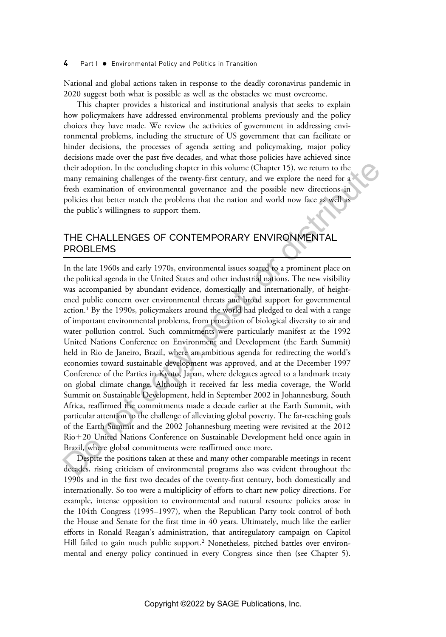National and global actions taken in response to the deadly coronavirus pandemic in 2020 suggest both what is possible as well as the obstacles we must overcome.

This chapter provides a historical and institutional analysis that seeks to explain how policymakers have addressed environmental problems previously and the policy choices they have made. We review the activities of government in addressing environmental problems, including the structure of US government that can facilitate or hinder decisions, the processes of agenda setting and policymaking, major policy decisions made over the past five decades, and what those policies have achieved since their adoption. In the concluding chapter in this volume (Chapter 15), we return to the many remaining challenges of the twenty-first century, and we explore the need for a fresh examination of environmental governance and the possible new directions in policies that better match the problems that the nation and world now face as well as the public's willingness to support them.

# THE CHALLENGES OF CONTEMPORARY ENVIRONMENTAL PROBLEMS

In the late 1960s and early 1970s, environmental issues soared to a prominent place on the political agenda in the United States and other industrial nations. The new visibility was accompanied by abundant evidence, domestically and internationally, of heightened public concern over environmental threats and broad support for governmental action.<sup>1</sup> By the 1990s, policymakers around the world had pledged to deal with a range of important environmental problems, from protection of biological diversity to air and water pollution control. Such commitments were particularly manifest at the 1992 United Nations Conference on Environment and Development (the Earth Summit) held in Rio de Janeiro, Brazil, where an ambitious agenda for redirecting the world's economies toward sustainable development was approved, and at the December 1997 Conference of the Parties in Kyoto, Japan, where delegates agreed to a landmark treaty on global climate change. Although it received far less media coverage, the World Summit on Sustainable Development, held in September 2002 in Johannesburg, South Africa, reaffirmed the commitments made a decade earlier at the Earth Summit, with particular attention to the challenge of alleviating global poverty. The far-reaching goals of the Earth Summit and the 2002 Johannesburg meeting were revisited at the 2012 Rio+20 United Nations Conference on Sustainable Development held once again in Brazil, where global commitments were reaffirmed once more. their adoption. In the conducting departer in this volume (Capeter 15), we recurre to the positive and the production of one<br>view range appear in the combine and the positive means for a politics that between the producti

Despite the positions taken at these and many other comparable meetings in recent decades, rising criticism of environmental programs also was evident throughout the 1990s and in the first two decades of the twenty-first century, both domestically and internationally. So too were a multiplicity of efforts to chart new policy directions. For example, intense opposition to environmental and natural resource policies arose in the 104th Congress (1995–1997), when the Republican Party took control of both the House and Senate for the first time in 40 years. Ultimately, much like the earlier efforts in Ronald Reagan's administration, that antiregulatory campaign on Capitol Hill failed to gain much public support.<sup>2</sup> Nonetheless, pitched battles over environmental and energy policy continued in every Congress since then (see Chapter 5).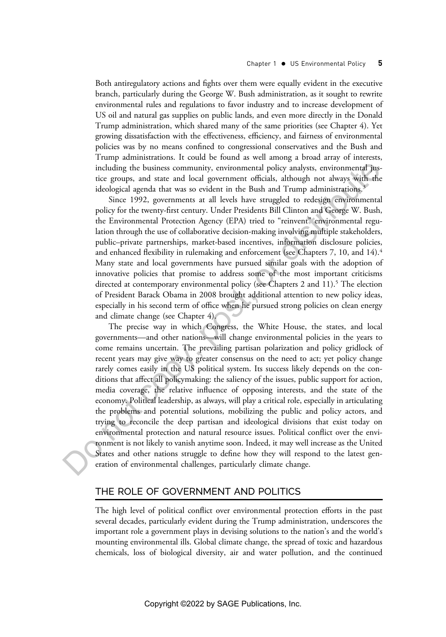Both antiregulatory actions and fights over them were equally evident in the executive branch, particularly during the George W. Bush administration, as it sought to rewrite environmental rules and regulations to favor industry and to increase development of US oil and natural gas supplies on public lands, and even more directly in the Donald Trump administration, which shared many of the same priorities (see Chapter 4). Yet growing dissatisfaction with the effectiveness, efficiency, and fairness of environmental policies was by no means confined to congressional conservatives and the Bush and Trump administrations. It could be found as well among a broad array of interests, including the business community, environmental policy analysts, environmental justice groups, and state and local government officials, although not always with the ideological agenda that was so evident in the Bush and Trump administrations.<sup>3</sup>

Since 1992, governments at all levels have struggled to redesign environmental policy for the twenty-first century. Under Presidents Bill Clinton and George W. Bush, the Environmental Protection Agency (EPA) tried to "reinvent" environmental regulation through the use of collaborative decision-making involving multiple stakeholders, public–private partnerships, market-based incentives, information disclosure policies, and enhanced flexibility in rulemaking and enforcement (see Chapters 7, 10, and 14).4 Many state and local governments have pursued similar goals with the adoption of innovative policies that promise to address some of the most important criticisms directed at contemporary environmental policy (see Chapters 2 and  $11$ ).<sup>5</sup> The election of President Barack Obama in 2008 brought additional attention to new policy ideas, especially in his second term of office when he pursued strong policies on clean energy and climate change (see Chapter 4).

The precise way in which Congress, the White House, the states, and local governments—and other nations—will change environmental policies in the years to come remains uncertain. The prevailing partisan polarization and policy gridlock of recent years may give way to greater consensus on the need to act; yet policy change rarely comes easily in the US political system. Its success likely depends on the conditions that affect all policymaking: the saliency of the issues, public support for action, media coverage, the relative influence of opposing interests, and the state of the economy. Political leadership, as always, will play a critical role, especially in articulating the problems and potential solutions, mobilizing the public and policy actors, and trying to reconcile the deep partisan and ideological divisions that exist today on environmental protection and natural resource issues. Political conflict over the environment is not likely to vanish anytime soon. Indeed, it may well increase as the United States and other nations struggle to define how they will respond to the latest generation of environmental challenges, particularly climate change. including the business community, environmentall policies and the sponse, and state and local government officials, although are always, with the ideological gap da due was or evident in the busin and Trump administration

# THE ROLE OF GOVERNMENT AND POLITICS

The high level of political conflict over environmental protection efforts in the past several decades, particularly evident during the Trump administration, underscores the important role a government plays in devising solutions to the nation's and the world's mounting environmental ills. Global climate change, the spread of toxic and hazardous chemicals, loss of biological diversity, air and water pollution, and the continued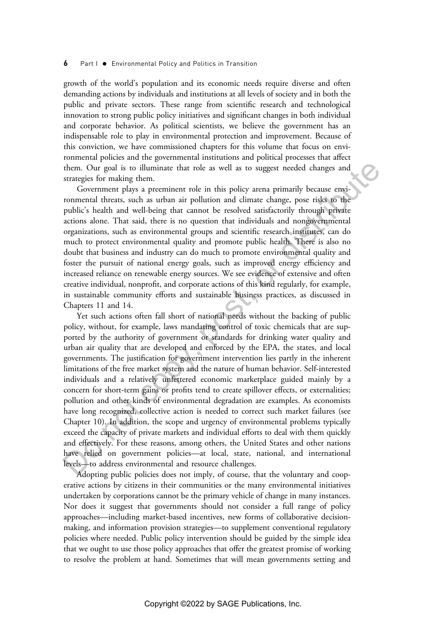growth of the world's population and its economic needs require diverse and often demanding actions by individuals and institutions at all levels of society and in both the public and private sectors. These range from scientific research and technological innovation to strong public policy initiatives and significant changes in both individual and corporate behavior. As political scientists, we believe the government has an indispensable role to play in environmental protection and improvement. Because of this conviction, we have commissioned chapters for this volume that focus on environmental policies and the governmental institutions and political processes that affect them. Our goal is to illuminate that role as well as to suggest needed changes and strategies for making them.

Government plays a preeminent role in this policy arena primarily because environmental threats, such as urban air pollution and climate change, pose risks to the public's health and well-being that cannot be resolved satisfactorily through private actions alone. That said, there is no question that individuals and nongovernmental organizations, such as environmental groups and scientific research institutes, can do much to protect environmental quality and promote public health. There is also no doubt that business and industry can do much to promote environmental quality and foster the pursuit of national energy goals, such as improved energy efficiency and increased reliance on renewable energy sources. We see evidence of extensive and often creative individual, nonprofit, and corporate actions of this kind regularly, for example, in sustainable community efforts and sustainable business practices, as discussed in Chapters 11 and 14.

Yet such actions often fall short of national needs without the backing of public policy, without, for example, laws mandating control of toxic chemicals that are supported by the authority of government or standards for drinking water quality and urban air quality that are developed and enforced by the EPA, the states, and local governments. The justification for government intervention lies partly in the inherent limitations of the free market system and the nature of human behavior. Self-interested individuals and a relatively unfettered economic marketplace guided mainly by a concern for short-term gains or profits tend to create spillover effects, or externalities; pollution and other kinds of environmental degradation are examples. As economists have long recognized, collective action is needed to correct such market failures (see Chapter 10). In addition, the scope and urgency of environmental problems typically exceed the capacity of private markets and individual efforts to deal with them quickly and effectively. For these reasons, among others, the United States and other nations have relied on government policies—at local, state, national, and international levels—to address environmental and resource challenges. them. Our goal is to illuminate that role as well as to suggest needed changes and<br>
Concernent Our goal is to integrally by a pennient role in this policy areas primarily by<br>consentral changes, and the momental threats, s

Adopting public policies does not imply, of course, that the voluntary and cooperative actions by citizens in their communities or the many environmental initiatives undertaken by corporations cannot be the primary vehicle of change in many instances. Nor does it suggest that governments should not consider a full range of policy approaches—including market-based incentives, new forms of collaborative decisionmaking, and information provision strategies—to supplement conventional regulatory policies where needed. Public policy intervention should be guided by the simple idea that we ought to use those policy approaches that offer the greatest promise of working to resolve the problem at hand. Sometimes that will mean governments setting and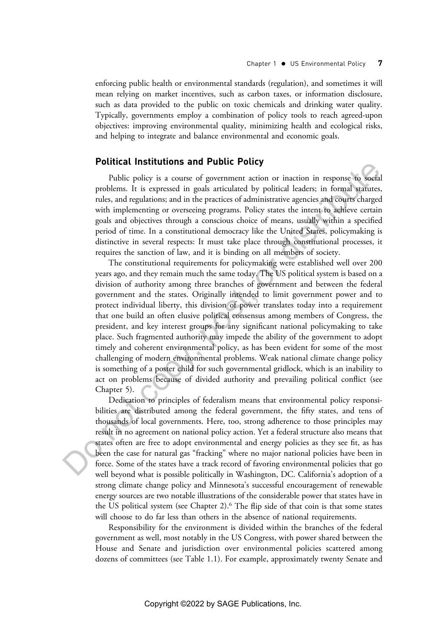enforcing public health or environmental standards (regulation), and sometimes it will mean relying on market incentives, such as carbon taxes, or information disclosure, such as data provided to the public on toxic chemicals and drinking water quality. Typically, governments employ a combination of policy tools to reach agreed-upon objectives: improving environmental quality, minimizing health and ecological risks, and helping to integrate and balance environmental and economic goals.

# Political Institutions and Public Policy

Public policy is a course of government action or inaction in response to social problems. It is expressed in goals articulated by political leaders; in formal statutes, rules, and regulations; and in the practices of administrative agencies and courts charged with implementing or overseeing programs. Policy states the intent to achieve certain goals and objectives through a conscious choice of means, usually within a specified period of time. In a constitutional democracy like the United States, policymaking is distinctive in several respects: It must take place through constitutional processes, it requires the sanction of law, and it is binding on all members of society.

The constitutional requirements for policymaking were established well over 200 years ago, and they remain much the same today. The US political system is based on a division of authority among three branches of government and between the federal government and the states. Originally intended to limit government power and to protect individual liberty, this division of power translates today into a requirement that one build an often elusive political consensus among members of Congress, the president, and key interest groups for any significant national policymaking to take place. Such fragmented authority may impede the ability of the government to adopt timely and coherent environmental policy, as has been evident for some of the most challenging of modern environmental problems. Weak national climate change policy is something of a poster child for such governmental gridlock, which is an inability to act on problems because of divided authority and prevailing political conflict (see Chapter 5). **PUILGE IIISON CONTROLLY CONTROLLY CONTROLLY CONTROLLY CONTROLLY AND THE STAGE PUBLIC SURFACT IS a counse of government action or inaction in response to hold public policy is a counse of government action or instanting p** 

Dedication to principles of federalism means that environmental policy responsibilities are distributed among the federal government, the fifty states, and tens of thousands of local governments. Here, too, strong adherence to those principles may result in no agreement on national policy action. Yet a federal structure also means that states often are free to adopt environmental and energy policies as they see fit, as has been the case for natural gas "fracking" where no major national policies have been in force. Some of the states have a track record of favoring environmental policies that go well beyond what is possible politically in Washington, DC. California's adoption of a strong climate change policy and Minnesota's successful encouragement of renewable energy sources are two notable illustrations of the considerable power that states have in the US political system (see Chapter 2).6 The flip side of that coin is that some states will choose to do far less than others in the absence of national requirements.

Responsibility for the environment is divided within the branches of the federal government as well, most notably in the US Congress, with power shared between the House and Senate and jurisdiction over environmental policies scattered among dozens of committees (see Table 1.1). For example, approximately twenty Senate and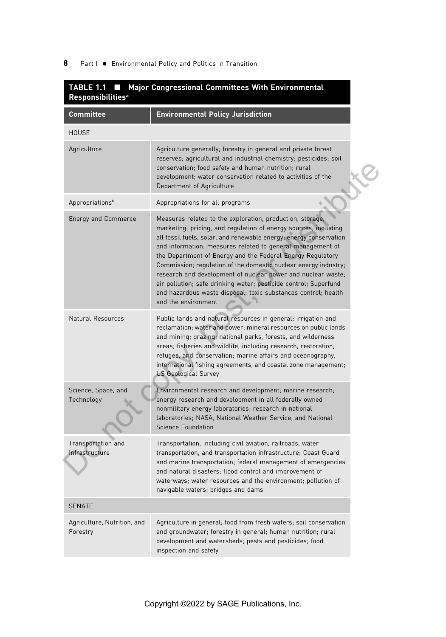| <b>Committee</b>                        | <b>Environmental Policy Jurisdiction</b>                                                                                                                                                                                                                                                                                                                                                                                                                                                                                                                                                                                       |
|-----------------------------------------|--------------------------------------------------------------------------------------------------------------------------------------------------------------------------------------------------------------------------------------------------------------------------------------------------------------------------------------------------------------------------------------------------------------------------------------------------------------------------------------------------------------------------------------------------------------------------------------------------------------------------------|
| <b>HOUSE</b>                            |                                                                                                                                                                                                                                                                                                                                                                                                                                                                                                                                                                                                                                |
| Agriculture                             | Agriculture generally; forestry in general and private forest<br>reserves; agricultural and industrial chemistry; pesticides; soil<br>conservation; food safety and human nutrition; rural<br>development; water conservation related to activities of the<br>Department of Agriculture                                                                                                                                                                                                                                                                                                                                        |
| Appropriations <sup>b</sup>             | Appropriations for all programs                                                                                                                                                                                                                                                                                                                                                                                                                                                                                                                                                                                                |
| <b>Energy and Commerce</b>              | Measures related to the exploration, production, storage,<br>marketing, pricing, and regulation of energy sources, including<br>all fossil fuels, solar, and renewable energy; energy conservation<br>and information; measures related to general management of<br>the Department of Energy and the Federal Energy Regulatory<br>Commission; regulation of the domestic nuclear energy industry;<br>research and development of nuclear power and nuclear waste;<br>air pollution; safe drinking water; pesticide control; Superfund<br>and hazardous waste disposal; toxic substances control; health<br>and the environment |
| Natural Resources                       | Public lands and natural resources in general; irrigation and<br>reclamation; water and power; mineral resources on public lands<br>and mining; grazing; national parks, forests, and wilderness<br>areas; fisheries and wildlife, including research, restoration,<br>refuges, and conservation; marine affairs and oceanography,<br>international fishing agreements, and coastal zone management;<br><b>US Geological Survey</b>                                                                                                                                                                                            |
| Science, Space, and<br>Technology       | Environmental research and development; marine research;<br>energy research and development in all federally owned<br>nonmilitary energy laboratories; research in national<br>laboratories; NASA, National Weather Service, and National<br><b>Science Foundation</b>                                                                                                                                                                                                                                                                                                                                                         |
| Transportation and<br>Infrastructure    | Transportation, including civil aviation, railroads, water<br>transportation, and transportation infrastructure; Coast Guard<br>and marine transportation; federal management of emergencies<br>and natural disasters; flood control and improvement of<br>waterways; water resources and the environment; pollution of<br>navigable waters; bridges and dams                                                                                                                                                                                                                                                                  |
| <b>SENATE</b>                           |                                                                                                                                                                                                                                                                                                                                                                                                                                                                                                                                                                                                                                |
| Agriculture, Nutrition, and<br>Forestry | Agriculture in general; food from fresh waters; soil conservation<br>and groundwater, forestry in general, human nutrition, rural<br>development and watersheds; pests and pesticides; food<br>inspection and safety                                                                                                                                                                                                                                                                                                                                                                                                           |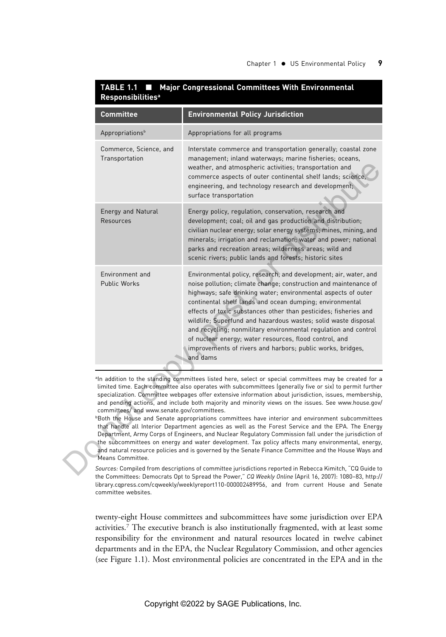| <b>Responsibilities<sup>a</sup></b>                            |                                                                                                                                                                                                                                                                                                                                                                                                                                                                                                                                                                                                                                                                                                                                                                                                                                                                                                                                                                                                                                                                                                                                                                                                      |
|----------------------------------------------------------------|------------------------------------------------------------------------------------------------------------------------------------------------------------------------------------------------------------------------------------------------------------------------------------------------------------------------------------------------------------------------------------------------------------------------------------------------------------------------------------------------------------------------------------------------------------------------------------------------------------------------------------------------------------------------------------------------------------------------------------------------------------------------------------------------------------------------------------------------------------------------------------------------------------------------------------------------------------------------------------------------------------------------------------------------------------------------------------------------------------------------------------------------------------------------------------------------------|
| Committee                                                      | <b>Environmental Policy Jurisdiction</b>                                                                                                                                                                                                                                                                                                                                                                                                                                                                                                                                                                                                                                                                                                                                                                                                                                                                                                                                                                                                                                                                                                                                                             |
| Appropriations <sup>b</sup>                                    | Appropriations for all programs                                                                                                                                                                                                                                                                                                                                                                                                                                                                                                                                                                                                                                                                                                                                                                                                                                                                                                                                                                                                                                                                                                                                                                      |
| Commerce, Science, and<br>Transportation                       | Interstate commerce and transportation generally; coastal zone<br>management, inland waterways, marine fisheries, oceans,<br>weather, and atmospheric activities; transportation and<br>commerce aspects of outer continental shelf lands; science,<br>engineering, and technology research and development;<br>surface transportation                                                                                                                                                                                                                                                                                                                                                                                                                                                                                                                                                                                                                                                                                                                                                                                                                                                               |
| <b>Energy and Natural</b><br>Resources                         | Energy policy, regulation, conservation, research and<br>development; coal; oil and gas production and distribution;<br>civilian nuclear energy; solar energy systems; mines, mining, and<br>minerals; irrigation and reclamation; water and power; national<br>parks and recreation areas; wilderness areas; wild and<br>scenic rivers; public lands and forests; historic sites                                                                                                                                                                                                                                                                                                                                                                                                                                                                                                                                                                                                                                                                                                                                                                                                                    |
| Environment and<br><b>Public Works</b>                         | Environmental policy, research, and development, air, water, and<br>noise pollution; climate change; construction and maintenance of<br>highways; safe drinking water; environmental aspects of outer<br>continental shelf lands and ocean dumping, environmental<br>effects of toxic substances other than pesticides; fisheries and<br>wildlife; Superfund and hazardous wastes; solid waste disposal<br>and recycling; nonmilitary environmental regulation and control<br>of nuclear energy; water resources, flood control, and<br>improvements of rivers and harbors; public works, bridges,<br>and dams                                                                                                                                                                                                                                                                                                                                                                                                                                                                                                                                                                                       |
| committees/ and www.senate.gov/committees.<br>Means Committee. | ln addition to the standing committees listed here, select or special committees may be created for a<br>limited time. Each committee also operates with subcommittees (generally five or six) to permit further<br>specialization. Committee webpages offer extensive information about jurisdiction, issues, membership,<br>and pending actions, and include both majority and minority views on the issues. See www.house.gov/<br>Both the House and Senate appropriations committees have interior and environment subcommittees <sup>b</sup><br>that handle all Interior Department agencies as well as the Forest Service and the EPA. The Energy<br>Department, Army Corps of Engineers, and Nuclear Regulatory Commission fall under the jurisdiction of<br>the subcommittees on energy and water development. Tax policy affects many environmental, energy,<br>and natural resource policies and is governed by the Senate Finance Committee and the House Ways and<br>Sources: Compiled from descriptions of committee jurisdictions reported in Rebecca Kimitch, "CQ Guide to<br>the Committees: Democrats Opt to Spread the Power," CQ Weekly Online (April 16, 2007): 1080–83, http:// |
| committee websites.                                            | library.cqpress.com/cqweekly/weeklyreport110-000002489956, and from current House and Senate<br>twenty-eight House committees and subcommittees have some jurisdiction over EPA<br>activities. <sup>7</sup> The executive branch is also institutionally fragmented, with at least some<br>responsibility for the environment and natural resources located in twelve cabinet<br>departments and in the EPA, the Nuclear Regulatory Commission, and other agencies<br>(see Figure 1.1). Most environmental policies are concentrated in the EPA and in the                                                                                                                                                                                                                                                                                                                                                                                                                                                                                                                                                                                                                                           |
|                                                                | Copyright ©2022 by SAGE Publications, Inc.                                                                                                                                                                                                                                                                                                                                                                                                                                                                                                                                                                                                                                                                                                                                                                                                                                                                                                                                                                                                                                                                                                                                                           |

# TABLE 1.1 **n** Major Congressional Committees With Environmental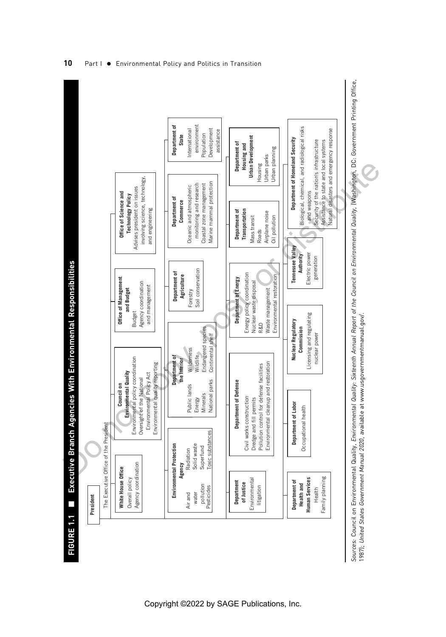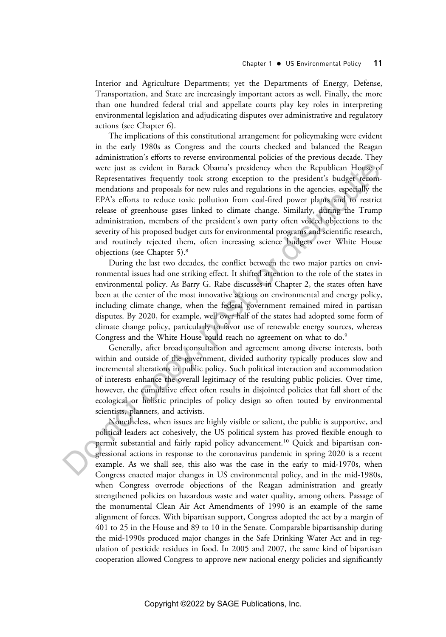Interior and Agriculture Departments; yet the Departments of Energy, Defense, Transportation, and State are increasingly important actors as well. Finally, the more than one hundred federal trial and appellate courts play key roles in interpreting environmental legislation and adjudicating disputes over administrative and regulatory actions (see Chapter 6).

The implications of this constitutional arrangement for policymaking were evident in the early 1980s as Congress and the courts checked and balanced the Reagan administration's efforts to reverse environmental policies of the previous decade. They were just as evident in Barack Obama's presidency when the Republican House of Representatives frequently took strong exception to the president's budget recommendations and proposals for new rules and regulations in the agencies, especially the EPA's efforts to reduce toxic pollution from coal-fired power plants and to restrict release of greenhouse gases linked to climate change. Similarly, during the Trump administration, members of the president's own party often voiced objections to the severity of his proposed budget cuts for environmental programs and scientific research, and routinely rejected them, often increasing science budgets over White House objections (see Chapter 5).8

During the last two decades, the conflict between the two major parties on environmental issues had one striking effect. It shifted attention to the role of the states in environmental policy. As Barry G. Rabe discusses in Chapter 2, the states often have been at the center of the most innovative actions on environmental and energy policy, including climate change, when the federal government remained mired in partisan disputes. By 2020, for example, well over half of the states had adopted some form of climate change policy, particularly to favor use of renewable energy sources, whereas Congress and the White House could reach no agreement on what to do.<sup>9</sup>

Generally, after broad consultation and agreement among diverse interests, both within and outside of the government, divided authority typically produces slow and incremental alterations in public policy. Such political interaction and accommodation of interests enhance the overall legitimacy of the resulting public policies. Over time, however, the cumulative effect often results in disjointed policies that fall short of the ecological or holistic principles of policy design so often touted by environmental scientists, planners, and activists.

Nonetheless, when issues are highly visible or salient, the public is supportive, and political leaders act cohesively, the US political system has proved flexible enough to permit substantial and fairly rapid policy advancement.<sup>10</sup> Quick and bipartisan congressional actions in response to the coronavirus pandemic in spring 2020 is a recent example. As we shall see, this also was the case in the early to mid-1970s, when Congress enacted major changes in US environmental policy, and in the mid-1980s, when Congress overrode objections of the Reagan administration and greatly strengthened policies on hazardous waste and water quality, among others. Passage of the monumental Clean Air Act Amendments of 1990 is an example of the same alignment of forces. With bipartisan support, Congress adopted the act by a margin of 401 to 25 in the House and 89 to 10 in the Senate. Comparable bipartisanship during the mid-1990s produced major changes in the Safe Drinking Water Act and in regulation of pesticide residues in food. In 2005 and 2007, the same kind of bipartisan cooperation allowed Congress to approve new national energy policies and significantly were just as evident in Barade Obama's pesitency when the Republican House Publican Republican increasions and propositor for the various of the particle and the method of the procedure of geodicinal proposito for the met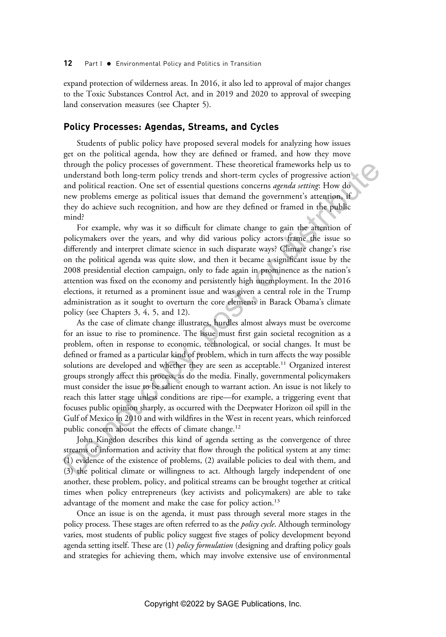expand protection of wilderness areas. In 2016, it also led to approval of major changes to the Toxic Substances Control Act, and in 2019 and 2020 to approval of sweeping land conservation measures (see Chapter 5).

## Policy Processes: Agendas, Streams, and Cycles

Students of public policy have proposed several models for analyzing how issues get on the political agenda, how they are defined or framed, and how they move through the policy processes of government. These theoretical frameworks help us to understand both long-term policy trends and short-term cycles of progressive action and political reaction. One set of essential questions concerns *agenda setting*: How do new problems emerge as political issues that demand the government's attention, if they do achieve such recognition, and how are they defined or framed in the public mind?

For example, why was it so difficult for climate change to gain the attention of policymakers over the years, and why did various policy actors frame the issue so differently and interpret climate science in such disparate ways? Climate change's rise on the political agenda was quite slow, and then it became a significant issue by the 2008 presidential election campaign, only to fade again in prominence as the nation's attention was fixed on the economy and persistently high unemployment. In the 2016 elections, it returned as a prominent issue and was given a central role in the Trump administration as it sought to overturn the core elements in Barack Obama's climate policy (see Chapters 3, 4, 5, and 12).

As the case of climate change illustrates, hurdles almost always must be overcome for an issue to rise to prominence. The issue must first gain societal recognition as a problem, often in response to economic, technological, or social changes. It must be defined or framed as a particular kind of problem, which in turn affects the way possible solutions are developed and whether they are seen as acceptable.<sup>11</sup> Organized interest groups strongly affect this process, as do the media. Finally, governmental policymakers must consider the issue to be salient enough to warrant action. An issue is not likely to reach this latter stage unless conditions are ripe—for example, a triggering event that focuses public opinion sharply, as occurred with the Deepwater Horizon oil spill in the Gulf of Mexico in 2010 and with wildfires in the West in recent years, which reinforced public concern about the effects of climate change.<sup>12</sup> through the policies are of the molecular three distributes in the policies of polygrams and policies in the policies of the policies of the policies of the set of section and policies incerton. One as of exercisation sou

John Kingdon describes this kind of agenda setting as the convergence of three streams of information and activity that flow through the political system at any time: (1) evidence of the existence of problems, (2) available policies to deal with them, and (3) the political climate or willingness to act. Although largely independent of one another, these problem, policy, and political streams can be brought together at critical times when policy entrepreneurs (key activists and policymakers) are able to take advantage of the moment and make the case for policy action.<sup>13</sup>

Once an issue is on the agenda, it must pass through several more stages in the policy process. These stages are often referred to as the *policy cycle*. Although terminology varies, most students of public policy suggest five stages of policy development beyond agenda setting itself. These are (1) *policy formulation* (designing and drafting policy goals and strategies for achieving them, which may involve extensive use of environmental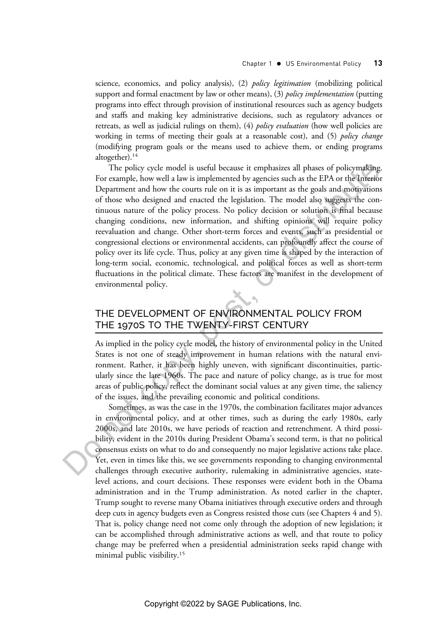science, economics, and policy analysis), (2) policy legitimation (mobilizing political support and formal enactment by law or other means), (3) policy implementation (putting programs into effect through provision of institutional resources such as agency budgets and staffs and making key administrative decisions, such as regulatory advances or retreats, as well as judicial rulings on them), (4) policy evaluation (how well policies are working in terms of meeting their goals at a reasonable cost), and (5) policy change (modifying program goals or the means used to achieve them, or ending programs altogether).14

The policy cycle model is useful because it emphasizes all phases of policymaking. For example, how well a law is implemented by agencies such as the EPA or the Interior Department and how the courts rule on it is as important as the goals and motivations of those who designed and enacted the legislation. The model also suggests the continuous nature of the policy process. No policy decision or solution is final because changing conditions, new information, and shifting opinions will require policy reevaluation and change. Other short-term forces and events, such as presidential or congressional elections or environmental accidents, can profoundly affect the course of policy over its life cycle. Thus, policy at any given time is shaped by the interaction of long-term social, economic, technological, and political forces as well as short-term fluctuations in the political climate. These factors are manifest in the development of environmental policy.

# THE DEVELOPMENT OF ENVIRONMENTAL POLICY FROM THE 1970S TO THE TWENTY-FIRST CENTURY

As implied in the policy cycle model, the history of environmental policy in the United States is not one of steady improvement in human relations with the natural environment. Rather, it has been highly uneven, with significant discontinuities, particularly since the late 1960s. The pace and nature of policy change, as is true for most areas of public policy, reflect the dominant social values at any given time, the saliency of the issues, and the prevailing economic and political conditions.

Sometimes, as was the case in the 1970s, the combination facilitates major advances in environmental policy, and at other times, such as during the early 1980s, early 2000s, and late 2010s, we have periods of reaction and retrenchment. A third possibility, evident in the 2010s during President Obama's second term, is that no political consensus exists on what to do and consequently no major legislative actions take place. Yet, even in times like this, we see governments responding to changing environmental challenges through executive authority, rulemaking in administrative agencies, statelevel actions, and court decisions. These responses were evident both in the Obama administration and in the Trump administration. As noted earlier in the chapter, Trump sought to reverse many Obama initiatives through executive orders and through deep cuts in agency budgets even as Congress resisted those cuts (see Chapters 4 and 5). That is, policy change need not come only through the adoption of new legislation; it can be accomplished through administrative actions as well, and that route to policy change may be preferred when a presidential administration seeks rapid change with minimal public visibility.<sup>15</sup> The policy cost model is used) because it emphasizes all phase of policy<br>places all particles of the product in the UPA of the Bowley Copyramics<br>and Dyapartectic Department of the sample of those who designed add matered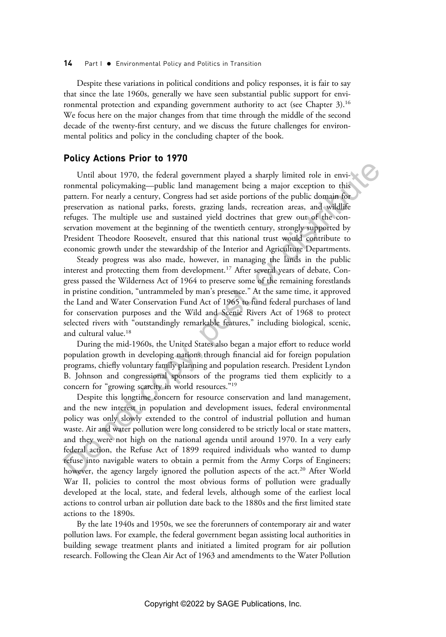Despite these variations in political conditions and policy responses, it is fair to say that since the late 1960s, generally we have seen substantial public support for environmental protection and expanding government authority to act (see Chapter 3).<sup>16</sup> We focus here on the major changes from that time through the middle of the second decade of the twenty-first century, and we discuss the future challenges for environmental politics and policy in the concluding chapter of the book.

## Policy Actions Prior to 1970

Until about 1970, the federal government played a sharply limited role in environmental policymaking—public land management being a major exception to this pattern. For nearly a century, Congress had set aside portions of the public domain for preservation as national parks, forests, grazing lands, recreation areas, and wildlife refuges. The multiple use and sustained yield doctrines that grew out of the conservation movement at the beginning of the twentieth century, strongly supported by President Theodore Roosevelt, ensured that this national trust would contribute to economic growth under the stewardship of the Interior and Agriculture Departments.

Steady progress was also made, however, in managing the lands in the public interest and protecting them from development.<sup>17</sup> After several years of debate, Congress passed the Wilderness Act of 1964 to preserve some of the remaining forestlands in pristine condition, "untrammeled by man's presence." At the same time, it approved the Land and Water Conservation Fund Act of 1965 to fund federal purchases of land for conservation purposes and the Wild and Scenic Rivers Act of 1968 to protect selected rivers with "outstandingly remarkable features," including biological, scenic, and cultural value.18

During the mid-1960s, the United States also began a major effort to reduce world population growth in developing nations through financial aid for foreign population programs, chiefly voluntary family planning and population research. President Lyndon B. Johnson and congressional sponsors of the programs tied them explicitly to a concern for "growing scarcity in world resources."<sup>19</sup>

Despite this longtime concern for resource conservation and land management, and the new interest in population and development issues, federal environmental policy was only slowly extended to the control of industrial pollution and human waste. Air and water pollution were long considered to be strictly local or state matters, and they were not high on the national agenda until around 1970. In a very early federal action, the Refuse Act of 1899 required individuals who wanted to dump refuse into navigable waters to obtain a permit from the Army Corps of Engineers; however, the agency largely ignored the pollution aspects of the act.<sup>20</sup> After World War II, policies to control the most obvious forms of pollution were gradually developed at the local, state, and federal levels, although some of the earliest local actions to control urban air pollution date back to the 1880s and the first limited state actions to the 1890s. Until about 1970, the federal government played a sharply limited role in environment Delyrnsidng – public alon amagement being a major exception to due to mean a national park, forests, gezing lands, consisting the parte

By the late 1940s and 1950s, we see the forerunners of contemporary air and water pollution laws. For example, the federal government began assisting local authorities in building sewage treatment plants and initiated a limited program for air pollution research. Following the Clean Air Act of 1963 and amendments to the Water Pollution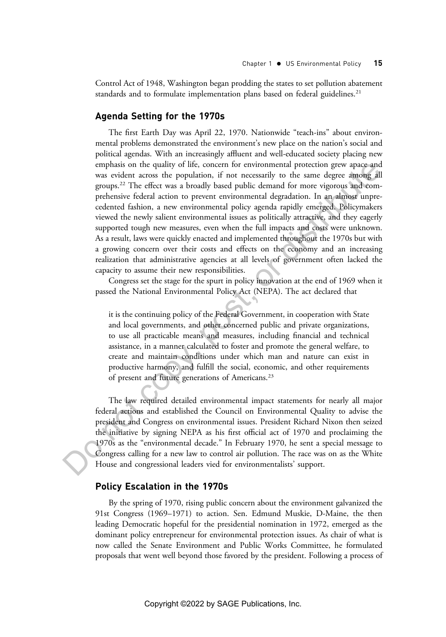Control Act of 1948, Washington began prodding the states to set pollution abatement standards and to formulate implementation plans based on federal guidelines.<sup>21</sup>

# Agenda Setting for the 1970s

The first Earth Day was April 22, 1970. Nationwide "teach-ins" about environmental problems demonstrated the environment's new place on the nation's social and political agendas. With an increasingly affluent and well-educated society placing new emphasis on the quality of life, concern for environmental protection grew apace and was evident across the population, if not necessarily to the same degree among all groups.22 The effect was a broadly based public demand for more vigorous and comprehensive federal action to prevent environmental degradation. In an almost unprecedented fashion, a new environmental policy agenda rapidly emerged. Policymakers viewed the newly salient environmental issues as politically attractive, and they eagerly supported tough new measures, even when the full impacts and costs were unknown. As a result, laws were quickly enacted and implemented throughout the 1970s but with a growing concern over their costs and effects on the economy and an increasing realization that administrative agencies at all levels of government often lacked the capacity to assume their new responsibilities. emphasis on the quality diffe. concent for environmental potection grow appear. The effect was a bondly based public demand for more vigorous and environment propaga.<sup>22</sup> line effect was a bondly based public demand for m

Congress set the stage for the spurt in policy innovation at the end of 1969 when it passed the National Environmental Policy Act (NEPA). The act declared that

it is the continuing policy of the Federal Government, in cooperation with State and local governments, and other concerned public and private organizations, to use all practicable means and measures, including financial and technical assistance, in a manner calculated to foster and promote the general welfare, to create and maintain conditions under which man and nature can exist in productive harmony, and fulfill the social, economic, and other requirements of present and future generations of Americans.23

The law required detailed environmental impact statements for nearly all major federal actions and established the Council on Environmental Quality to advise the president and Congress on environmental issues. President Richard Nixon then seized the initiative by signing NEPA as his first official act of 1970 and proclaiming the 1970s as the "environmental decade." In February 1970, he sent a special message to Congress calling for a new law to control air pollution. The race was on as the White House and congressional leaders vied for environmentalists' support.

## Policy Escalation in the 1970s

By the spring of 1970, rising public concern about the environment galvanized the 91st Congress (1969–1971) to action. Sen. Edmund Muskie, D-Maine, the then leading Democratic hopeful for the presidential nomination in 1972, emerged as the dominant policy entrepreneur for environmental protection issues. As chair of what is now called the Senate Environment and Public Works Committee, he formulated proposals that went well beyond those favored by the president. Following a process of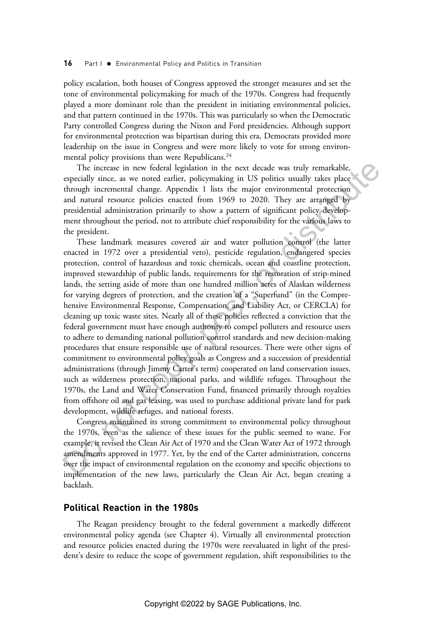policy escalation, both houses of Congress approved the stronger measures and set the tone of environmental policymaking for much of the 1970s. Congress had frequently played a more dominant role than the president in initiating environmental policies, and that pattern continued in the 1970s. This was particularly so when the Democratic Party controlled Congress during the Nixon and Ford presidencies. Although support for environmental protection was bipartisan during this era, Democrats provided more leadership on the issue in Congress and were more likely to vote for strong environmental policy provisions than were Republicans.<sup>24</sup>

The increase in new federal legislation in the next decade was truly remarkable, especially since, as we noted earlier, policymaking in US politics usually takes place through incremental change. Appendix 1 lists the major environmental protection and natural resource policies enacted from 1969 to 2020. They are arranged by presidential administration primarily to show a pattern of significant policy development throughout the period, not to attribute chief responsibility for the various laws to the president.

These landmark measures covered air and water pollution control (the latter enacted in 1972 over a presidential veto), pesticide regulation, endangered species protection, control of hazardous and toxic chemicals, ocean and coastline protection, improved stewardship of public lands, requirements for the restoration of strip-mined lands, the setting aside of more than one hundred million acres of Alaskan wilderness for varying degrees of protection, and the creation of a "Superfund" (in the Comprehensive Environmental Response, Compensation, and Liability Act, or CERCLA) for cleaning up toxic waste sites. Nearly all of these policies reflected a conviction that the federal government must have enough authority to compel polluters and resource users to adhere to demanding national pollution control standards and new decision-making procedures that ensure responsible use of natural resources. There were other signs of commitment to environmental policy goals as Congress and a succession of presidential administrations (through Jimmy Carter's term) cooperated on land conservation issues, such as wilderness protection, national parks, and wildlife refuges. Throughout the 1970s, the Land and Water Conservation Fund, financed primarily through royalties from offshore oil and gas leasing, was used to purchase additional private land for park development, wildlife refuges, and national forests. The interast in new federal gladiton in the next decade was truly emraticable, and the analysis of the matrical by the matrice of the matrice of the matrice of the matrice of the matrice of the matrice of the matrice of t

Congress maintained its strong commitment to environmental policy throughout the 1970s, even as the salience of these issues for the public seemed to wane. For example, it revised the Clean Air Act of 1970 and the Clean Water Act of 1972 through amendments approved in 1977. Yet, by the end of the Carter administration, concerns over the impact of environmental regulation on the economy and specific objections to implementation of the new laws, particularly the Clean Air Act, began creating a backlash.

## Political Reaction in the 1980s

The Reagan presidency brought to the federal government a markedly different environmental policy agenda (see Chapter 4). Virtually all environmental protection and resource policies enacted during the 1970s were reevaluated in light of the president's desire to reduce the scope of government regulation, shift responsibilities to the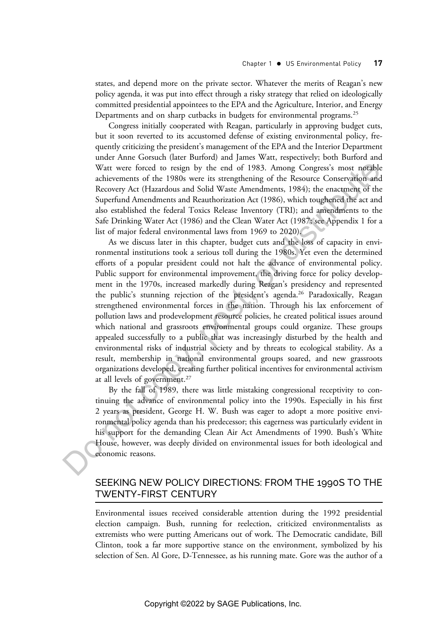states, and depend more on the private sector. Whatever the merits of Reagan's new policy agenda, it was put into effect through a risky strategy that relied on ideologically committed presidential appointees to the EPA and the Agriculture, Interior, and Energy Departments and on sharp cutbacks in budgets for environmental programs.<sup>25</sup>

Congress initially cooperated with Reagan, particularly in approving budget cuts, but it soon reverted to its accustomed defense of existing environmental policy, frequently criticizing the president's management of the EPA and the Interior Department under Anne Gorsuch (later Burford) and James Watt, respectively; both Burford and Watt were forced to resign by the end of 1983. Among Congress's most notable achievements of the 1980s were its strengthening of the Resource Conservation and Recovery Act (Hazardous and Solid Waste Amendments, 1984); the enactment of the Superfund Amendments and Reauthorization Act (1986), which toughened the act and also established the federal Toxics Release Inventory (TRI); and amendments to the Safe Drinking Water Act (1986) and the Clean Water Act (1987; see Appendix 1 for a list of major federal environmental laws from 1969 to 2020).

As we discuss later in this chapter, budget cuts and the loss of capacity in environmental institutions took a serious toll during the 1980s. Yet even the determined efforts of a popular president could not halt the advance of environmental policy. Public support for environmental improvement, the driving force for policy development in the 1970s, increased markedly during Reagan's presidency and represented the public's stunning rejection of the president's agenda.26 Paradoxically, Reagan strengthened environmental forces in the nation. Through his lax enforcement of pollution laws and prodevelopment resource policies, he created political issues around which national and grassroots environmental groups could organize. These groups appealed successfully to a public that was increasingly disturbed by the health and environmental risks of industrial society and by threats to ecological stability. As a result, membership in national environmental groups soared, and new grassroots organizations developed, creating further political incentives for environmental activism at all levels of government.<sup>27</sup> Watt were forced to reside the red 1988. Anong Congres's more prophelical conditions, and the section of the section of the section of the section spectra section spectra sections, the congression and Solar American and R

By the fall of 1989, there was little mistaking congressional receptivity to continuing the advance of environmental policy into the 1990s. Especially in his first 2 years as president, George H. W. Bush was eager to adopt a more positive environmental policy agenda than his predecessor; this eagerness was particularly evident in his support for the demanding Clean Air Act Amendments of 1990. Bush's White House, however, was deeply divided on environmental issues for both ideological and economic reasons.

# SEEKING NEW POLICY DIRECTIONS: FROM THE 1990S TO THE TWENTY-FIRST CENTURY

Environmental issues received considerable attention during the 1992 presidential election campaign. Bush, running for reelection, criticized environmentalists as extremists who were putting Americans out of work. The Democratic candidate, Bill Clinton, took a far more supportive stance on the environment, symbolized by his selection of Sen. Al Gore, D-Tennessee, as his running mate. Gore was the author of a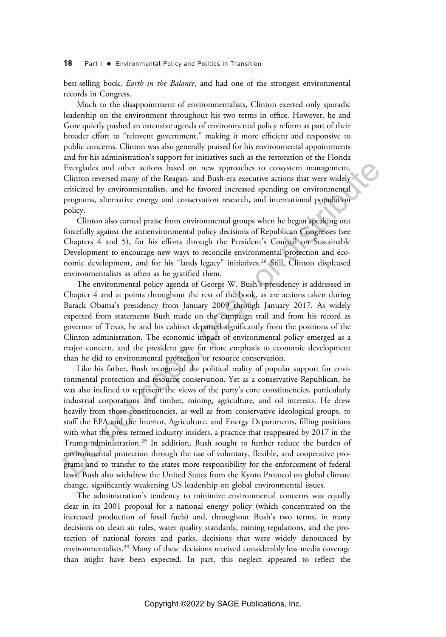best-selling book, Earth in the Balance, and had one of the strongest environmental records in Congress.

Much to the disappointment of environmentalists, Clinton exerted only sporadic leadership on the environment throughout his two terms in office. However, he and Gore quietly pushed an extensive agenda of environmental policy reform as part of their broader effort to "reinvent government," making it more efficient and responsive to public concerns. Clinton was also generally praised for his environmental appointments and for his administration's support for initiatives such as the restoration of the Florida Everglades and other actions based on new approaches to ecosystem management. Clinton reversed many of the Reagan- and Bush-era executive actions that were widely criticized by environmentalists, and he favored increased spending on environmental programs, alternative energy and conservation research, and international population policy.

Clinton also earned praise from environmental groups when he began speaking out forcefully against the antienvironmental policy decisions of Republican Congresses (see Chapters 4 and 5), for his efforts through the President's Council on Sustainable Development to encourage new ways to reconcile environmental protection and economic development, and for his "lands legacy" initiatives.<sup>28</sup> Still, Clinton displeased environmentalists as often as he gratified them.

The environmental policy agenda of George W. Bush's presidency is addressed in Chapter 4 and at points throughout the rest of the book, as are actions taken during Barack Obama's presidency from January 2009 through January 2017. As widely expected from statements Bush made on the campaign trail and from his record as governor of Texas, he and his cabinet departed significantly from the positions of the Clinton administration. The economic impact of environmental policy emerged as a major concern, and the president gave far more emphasis to economic development than he did to environmental protection or resource conservation.

Like his father, Bush recognized the political reality of popular support for environmental protection and resource conservation. Yet as a conservative Republican, he was also inclined to represent the views of the party's core constituencies, particularly industrial corporations and timber, mining, agriculture, and oil interests. He drew heavily from those constituencies, as well as from conservative ideological groups, to staff the EPA and the Interior, Agriculture, and Energy Departments, filling positions with what the press termed industry insiders, a practice that reappeared by 2017 in the Trump administration.<sup>29</sup> In addition, Bush sought to further reduce the burden of environmental protection through the use of voluntary, flexible, and cooperative programs and to transfer to the states more responsibility for the enforcement of federal laws. Bush also withdrew the United States from the Kyoto Protocol on global climate change, significantly weakening US leadership on global environmental issues. Everglades and other actions based on mew approaches to ecosystem management.<br>Clinton reveredely coincide the Reagan- and Busb-en executive actions that were widely critically by environmentalists, and he forvered increas

The administration's tendency to minimize environmental concerns was equally clear in its 2001 proposal for a national energy policy (which concentrated on the increased production of fossil fuels) and, throughout Bush's two terms, in many decisions on clean air rules, water quality standards, mining regulations, and the protection of national forests and parks, decisions that were widely denounced by environmentalists.30 Many of these decisions received considerably less media coverage than might have been expected. In part, this neglect appeared to reflect the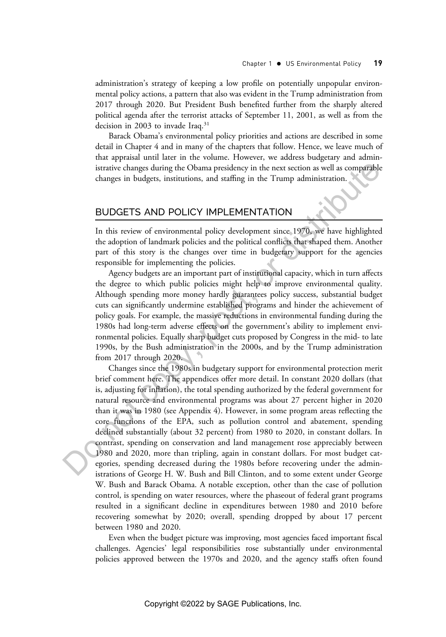administration's strategy of keeping a low profile on potentially unpopular environmental policy actions, a pattern that also was evident in the Trump administration from 2017 through 2020. But President Bush benefited further from the sharply altered political agenda after the terrorist attacks of September 11, 2001, as well as from the decision in 2003 to invade Iraq.<sup>31</sup>

Barack Obama's environmental policy priorities and actions are described in some detail in Chapter 4 and in many of the chapters that follow. Hence, we leave much of that appraisal until later in the volume. However, we address budgetary and administrative changes during the Obama presidency in the next section as well as comparable changes in budgets, institutions, and staffing in the Trump administration.

## BUDGETS AND POLICY IMPLEMENTATION

In this review of environmental policy development since 1970, we have highlighted the adoption of landmark policies and the political conflicts that shaped them. Another part of this story is the changes over time in budgetary support for the agencies responsible for implementing the policies.

Agency budgets are an important part of institutional capacity, which in turn affects the degree to which public policies might help to improve environmental quality. Although spending more money hardly guarantees policy success, substantial budget cuts can significantly undermine established programs and hinder the achievement of policy goals. For example, the massive reductions in environmental funding during the 1980s had long-term adverse effects on the government's ability to implement environmental policies. Equally sharp budget cuts proposed by Congress in the mid- to late 1990s, by the Bush administration in the 2000s, and by the Trump administration from 2017 through 2020.

Changes since the 1980s in budgetary support for environmental protection merit brief comment here. The appendices offer more detail. In constant 2020 dollars (that is, adjusting for inflation), the total spending authorized by the federal government for natural resource and environmental programs was about 27 percent higher in 2020 than it was in 1980 (see Appendix 4). However, in some program areas reflecting the core functions of the EPA, such as pollution control and abatement, spending declined substantially (about 32 percent) from 1980 to 2020, in constant dollars. In contrast, spending on conservation and land management rose appreciably between 1980 and 2020, more than tripling, again in constant dollars. For most budget categories, spending decreased during the 1980s before recovering under the administrations of George H. W. Bush and Bill Clinton, and to some extent under George W. Bush and Barack Obama. A notable exception, other than the case of pollution control, is spending on water resources, where the phaseout of federal grant programs resulted in a significant decline in expenditures between 1980 and 2010 before recovering somewhat by 2020; overall, spending dropped by about 17 percent between 1980 and 2020. istrative changes during the Obama presidency in the nost section as well as comparible changes in budgets, incriturions, and starfing in the Trump administration.<br>
BUDGETS AND POLICY IMPLEMENTATION<br>
In this recieve of co

Even when the budget picture was improving, most agencies faced important fiscal challenges. Agencies' legal responsibilities rose substantially under environmental policies approved between the 1970s and 2020, and the agency staffs often found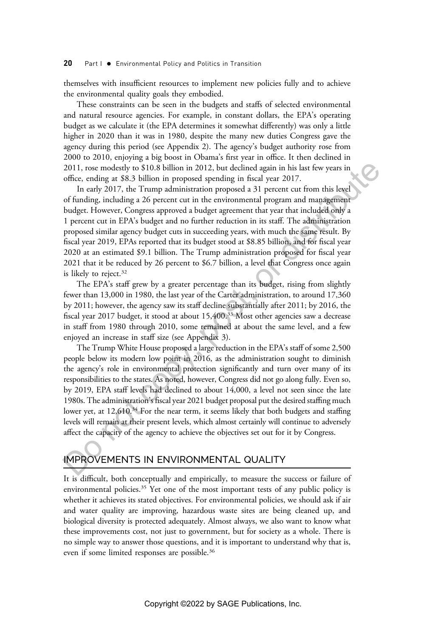themselves with insufficient resources to implement new policies fully and to achieve the environmental quality goals they embodied.

These constraints can be seen in the budgets and staffs of selected environmental and natural resource agencies. For example, in constant dollars, the EPA's operating budget as we calculate it (the EPA determines it somewhat differently) was only a little higher in 2020 than it was in 1980, despite the many new duties Congress gave the agency during this period (see Appendix 2). The agency's budget authority rose from 2000 to 2010, enjoying a big boost in Obama's first year in office. It then declined in 2011, rose modestly to \$10.8 billion in 2012, but declined again in his last few years in office, ending at \$8.3 billion in proposed spending in fiscal year 2017.

In early 2017, the Trump administration proposed a 31 percent cut from this level of funding, including a 26 percent cut in the environmental program and management budget. However, Congress approved a budget agreement that year that included only a 1 percent cut in EPA's budget and no further reduction in its staff. The administration proposed similar agency budget cuts in succeeding years, with much the same result. By fiscal year 2019, EPAs reported that its budget stood at \$8.85 billion, and for fiscal year 2020 at an estimated \$9.1 billion. The Trump administration proposed for fiscal year 2021 that it be reduced by 26 percent to \$6.7 billion, a level that Congress once again is likely to reject.  $32$ 2011, rose modely to \$10.8 billion in 2021, but declined again in his last few years in the relay 2012, the Urany administration proposed a 31 percent cut from this loved<br>of finding, including a 26 percent cut in the envi

The EPA's staff grew by a greater percentage than its budget, rising from slightly fewer than 13,000 in 1980, the last year of the Carter administration, to around 17,360 by 2011; however, the agency saw its staff decline substantially after 2011; by 2016, the fiscal year 2017 budget, it stood at about  $15,400$ .<sup>33</sup> Most other agencies saw a decrease in staff from 1980 through 2010, some remained at about the same level, and a few enjoyed an increase in staff size (see Appendix 3).

The Trump White House proposed a large reduction in the EPA's staff of some 2,500 people below its modern low point in 2016, as the administration sought to diminish the agency's role in environmental protection significantly and turn over many of its responsibilities to the states. As noted, however, Congress did not go along fully. Even so, by 2019, EPA staff levels had declined to about 14,000, a level not seen since the late 1980s. The administration's fiscal year 2021 budget proposal put the desired staffing much lower yet, at  $12{,}610{,}^{34}$  For the near term, it seems likely that both budgets and staffing levels will remain at their present levels, which almost certainly will continue to adversely affect the capacity of the agency to achieve the objectives set out for it by Congress.

# IMPROVEMENTS IN ENVIRONMENTAL QUALITY

It is difficult, both conceptually and empirically, to measure the success or failure of environmental policies.<sup>35</sup> Yet one of the most important tests of any public policy is whether it achieves its stated objectives. For environmental policies, we should ask if air and water quality are improving, hazardous waste sites are being cleaned up, and biological diversity is protected adequately. Almost always, we also want to know what these improvements cost, not just to government, but for society as a whole. There is no simple way to answer those questions, and it is important to understand why that is, even if some limited responses are possible.36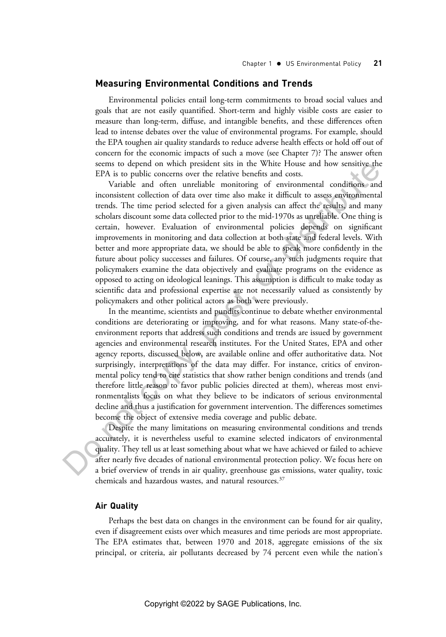# Measuring Environmental Conditions and Trends

Environmental policies entail long-term commitments to broad social values and goals that are not easily quantified. Short-term and highly visible costs are easier to measure than long-term, diffuse, and intangible benefits, and these differences often lead to intense debates over the value of environmental programs. For example, should the EPA toughen air quality standards to reduce adverse health effects or hold off out of concern for the economic impacts of such a move (see Chapter 7)? The answer often seems to depend on which president sits in the White House and how sensitive the EPA is to public concerns over the relative benefits and costs.

Variable and often unreliable monitoring of environmental conditions and inconsistent collection of data over time also make it difficult to assess environmental trends. The time period selected for a given analysis can affect the results, and many scholars discount some data collected prior to the mid-1970s as unreliable. One thing is certain, however. Evaluation of environmental policies depends on significant improvements in monitoring and data collection at both state and federal levels. With better and more appropriate data, we should be able to speak more confidently in the future about policy successes and failures. Of course, any such judgments require that policymakers examine the data objectively and evaluate programs on the evidence as opposed to acting on ideological leanings. This assumption is difficult to make today as scientific data and professional expertise are not necessarily valued as consistently by policymakers and other political actors as both were previously. semn to depend on which predicts in the Which Foucas and how sensitive from the solution of the solution of the solution of the solution of the computer increasion of the constrained contribute increase increasion of the

In the meantime, scientists and pundits continue to debate whether environmental conditions are deteriorating or improving, and for what reasons. Many state-of-theenvironment reports that address such conditions and trends are issued by government agencies and environmental research institutes. For the United States, EPA and other agency reports, discussed below, are available online and offer authoritative data. Not surprisingly, interpretations of the data may differ. For instance, critics of environmental policy tend to cite statistics that show rather benign conditions and trends (and therefore little reason to favor public policies directed at them), whereas most environmentalists focus on what they believe to be indicators of serious environmental decline and thus a justification for government intervention. The differences sometimes become the object of extensive media coverage and public debate.

Despite the many limitations on measuring environmental conditions and trends accurately, it is nevertheless useful to examine selected indicators of environmental quality. They tell us at least something about what we have achieved or failed to achieve after nearly five decades of national environmental protection policy. We focus here on a brief overview of trends in air quality, greenhouse gas emissions, water quality, toxic chemicals and hazardous wastes, and natural resources.37

## Air Quality

Perhaps the best data on changes in the environment can be found for air quality, even if disagreement exists over which measures and time periods are most appropriate. The EPA estimates that, between 1970 and 2018, aggregate emissions of the six principal, or criteria, air pollutants decreased by 74 percent even while the nation's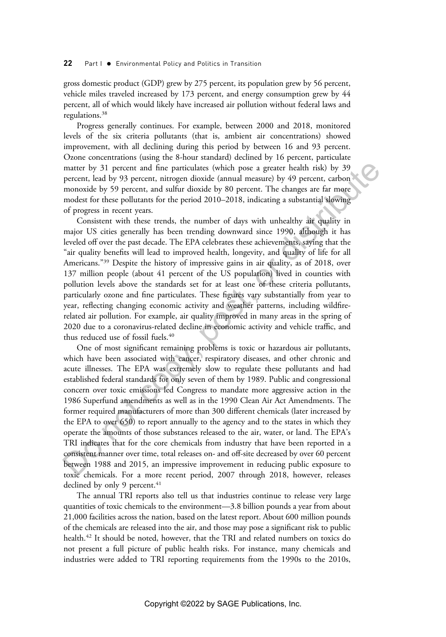gross domestic product (GDP) grew by 275 percent, its population grew by 56 percent, vehicle miles traveled increased by 173 percent, and energy consumption grew by 44 percent, all of which would likely have increased air pollution without federal laws and regulations.38

Progress generally continues. For example, between 2000 and 2018, monitored levels of the six criteria pollutants (that is, ambient air concentrations) showed improvement, with all declining during this period by between 16 and 93 percent. Ozone concentrations (using the 8-hour standard) declined by 16 percent, particulate matter by 31 percent and fine particulates (which pose a greater health risk) by 39 percent, lead by 93 percent, nitrogen dioxide (annual measure) by 49 percent, carbon monoxide by 59 percent, and sulfur dioxide by 80 percent. The changes are far more modest for these pollutants for the period 2010–2018, indicating a substantial slowing of progress in recent years.

Consistent with these trends, the number of days with unhealthy air quality in major US cities generally has been trending downward since 1990, although it has leveled off over the past decade. The EPA celebrates these achievements, saying that the "air quality benefits will lead to improved health, longevity, and quality of life for all Americans."<sup>39</sup> Despite the history of impressive gains in air quality, as of 2018, over 137 million people (about 41 percent of the US population) lived in counties with pollution levels above the standards set for at least one of these criteria pollutants, particularly ozone and fine particulates. These figures vary substantially from year to year, reflecting changing economic activity and weather patterns, including wildfirerelated air pollution. For example, air quality improved in many areas in the spring of 2020 due to a coronavirus-related decline in economic activity and vehicle traffic, and thus reduced use of fossil fuels.<sup>40</sup>

One of most significant remaining problems is toxic or hazardous air pollutants, which have been associated with cancer, respiratory diseases, and other chronic and acute illnesses. The EPA was extremely slow to regulate these pollutants and had established federal standards for only seven of them by 1989. Public and congressional concern over toxic emissions led Congress to mandate more aggressive action in the 1986 Superfund amendments as well as in the 1990 Clean Air Act Amendments. The former required manufacturers of more than 300 different chemicals (later increased by the EPA to over 650) to report annually to the agency and to the states in which they operate the amounts of those substances released to the air, water, or land. The EPA's TRI indicates that for the core chemicals from industry that have been reported in a consistent manner over time, total releases on- and off-site decreased by over 60 percent between 1988 and 2015, an impressive improvement in reducing public exposure to toxic chemicals. For a more recent period, 2007 through 2018, however, releases declined by only 9 percent. $41$ meare by 31 percent, and sulle particulates (which pose a greater health philop 39<br>percent, and by 39 percent, and solite model to any observe and solite model by 50 percent. The changes are for more<br>propose in recent, an

The annual TRI reports also tell us that industries continue to release very large quantities of toxic chemicals to the environment—3.8 billion pounds a year from about 21,000 facilities across the nation, based on the latest report. About 600 million pounds of the chemicals are released into the air, and those may pose a significant risk to public health.42 It should be noted, however, that the TRI and related numbers on toxics do not present a full picture of public health risks. For instance, many chemicals and industries were added to TRI reporting requirements from the 1990s to the 2010s,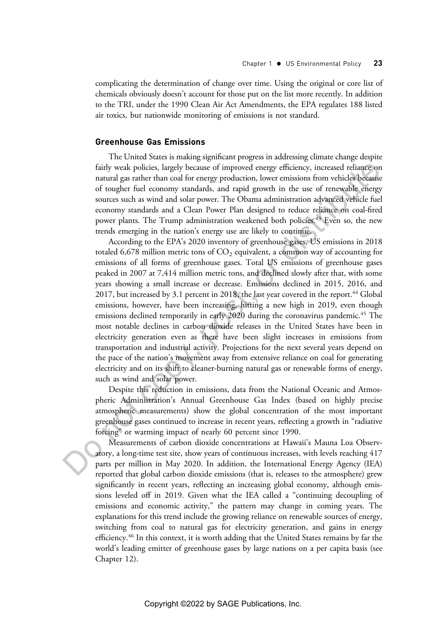complicating the determination of change over time. Using the original or core list of chemicals obviously doesn't account for those put on the list more recently. In addition to the TRI, under the 1990 Clean Air Act Amendments, the EPA regulates 188 listed air toxics, but nationwide monitoring of emissions is not standard.

## Greenhouse Gas Emissions

The United States is making significant progress in addressing climate change despite fairly weak policies, largely because of improved energy efficiency, increased reliance on natural gas rather than coal for energy production, lower emissions from vehicles because of tougher fuel economy standards, and rapid growth in the use of renewable energy sources such as wind and solar power. The Obama administration advanced vehicle fuel economy standards and a Clean Power Plan designed to reduce reliance on coal-fired power plants. The Trump administration weakened both policies.<sup>43</sup> Even so, the new trends emerging in the nation's energy use are likely to continue.

According to the EPA's 2020 inventory of greenhouse gases, US emissions in 2018 totaled 6,678 million metric tons of  $CO<sub>2</sub>$  equivalent, a common way of accounting for emissions of all forms of greenhouse gases. Total US emissions of greenhouse gases peaked in 2007 at 7,414 million metric tons, and declined slowly after that, with some years showing a small increase or decrease. Emissions declined in 2015, 2016, and 2017, but increased by 3.1 percent in 2018, the last year covered in the report.<sup>44</sup> Global emissions, however, have been increasing, hitting a new high in 2019, even though emissions declined temporarily in early 2020 during the coronavirus pandemic.<sup>45</sup> The most notable declines in carbon dioxide releases in the United States have been in electricity generation even as there have been slight increases in emissions from transportation and industrial activity. Projections for the next several years depend on the pace of the nation's movement away from extensive reliance on coal for generating electricity and on its shift to cleaner-burning natural gas or renewable forms of energy, such as wind and solar power. finity was by folicing logarithos consider from the main of more in the same of energy production, lower emissions from considerable comparation and and and govern in the use of renewable solar sources with a swind and so

Despite this reduction in emissions, data from the National Oceanic and Atmospheric Administration's Annual Greenhouse Gas Index (based on highly precise atmospheric measurements) show the global concentration of the most important greenhouse gases continued to increase in recent years, reflecting a growth in "radiative forcing" or warming impact of nearly 60 percent since 1990.

Measurements of carbon dioxide concentrations at Hawaii's Mauna Loa Observatory, a long-time test site, show years of continuous increases, with levels reaching 417 parts per million in May 2020. In addition, the International Energy Agency (IEA) reported that global carbon dioxide emissions (that is, releases to the atmosphere) grew significantly in recent years, reflecting an increasing global economy, although emissions leveled off in 2019. Given what the IEA called a "continuing decoupling of emissions and economic activity," the pattern may change in coming years. The explanations for this trend include the growing reliance on renewable sources of energy, switching from coal to natural gas for electricity generation, and gains in energy efficiency.46 In this context, it is worth adding that the United States remains by far the world's leading emitter of greenhouse gases by large nations on a per capita basis (see Chapter 12).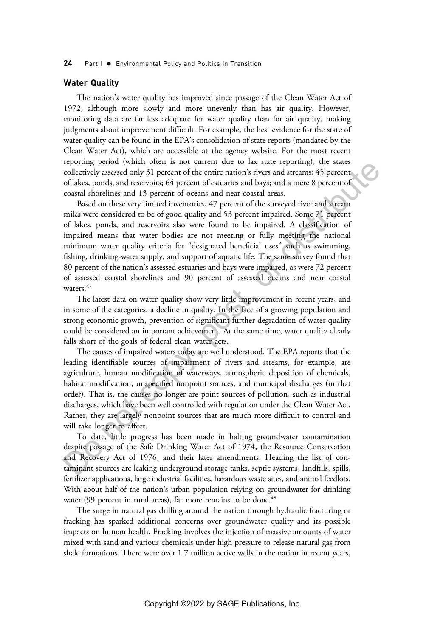## Water Quality

The nation's water quality has improved since passage of the Clean Water Act of 1972, although more slowly and more unevenly than has air quality. However, monitoring data are far less adequate for water quality than for air quality, making judgments about improvement difficult. For example, the best evidence for the state of water quality can be found in the EPA's consolidation of state reports (mandated by the Clean Water Act), which are accessible at the agency website. For the most recent reporting period (which often is not current due to lax state reporting), the states collectively assessed only 31 percent of the entire nation's rivers and streams; 45 percent of lakes, ponds, and reservoirs; 64 percent of estuaries and bays; and a mere 8 percent of coastal shorelines and 13 percent of oceans and near coastal areas.

Based on these very limited inventories, 47 percent of the surveyed river and stream miles were considered to be of good quality and 53 percent impaired. Some 71 percent of lakes, ponds, and reservoirs also were found to be impaired. A classification of impaired means that water bodies are not meeting or fully meeting the national minimum water quality criteria for "designated beneficial uses" such as swimming, fishing, drinking-water supply, and support of aquatic life. The same survey found that 80 percent of the nation's assessed estuaries and bays were impaired, as were 72 percent of assessed coastal shorelines and 90 percent of assessed oceans and near coastal waters.<sup>47</sup> reparation (withit during the function of significant comparison of the state in the solution constant in the solution of the solution of the solution of the solution of the solution of the solution of the solution of the

The latest data on water quality show very little improvement in recent years, and in some of the categories, a decline in quality. In the face of a growing population and strong economic growth, prevention of significant further degradation of water quality could be considered an important achievement. At the same time, water quality clearly falls short of the goals of federal clean water acts.

The causes of impaired waters today are well understood. The EPA reports that the leading identifiable sources of impairment of rivers and streams, for example, are agriculture, human modification of waterways, atmospheric deposition of chemicals, habitat modification, unspecified nonpoint sources, and municipal discharges (in that order). That is, the causes no longer are point sources of pollution, such as industrial discharges, which have been well controlled with regulation under the Clean Water Act. Rather, they are largely nonpoint sources that are much more difficult to control and will take longer to affect.

To date, little progress has been made in halting groundwater contamination despite passage of the Safe Drinking Water Act of 1974, the Resource Conservation and Recovery Act of 1976, and their later amendments. Heading the list of contaminant sources are leaking underground storage tanks, septic systems, landfills, spills, fertilizer applications, large industrial facilities, hazardous waste sites, and animal feedlots. With about half of the nation's urban population relying on groundwater for drinking water (99 percent in rural areas), far more remains to be done.<sup>48</sup>

The surge in natural gas drilling around the nation through hydraulic fracturing or fracking has sparked additional concerns over groundwater quality and its possible impacts on human health. Fracking involves the injection of massive amounts of water mixed with sand and various chemicals under high pressure to release natural gas from shale formations. There were over 1.7 million active wells in the nation in recent years,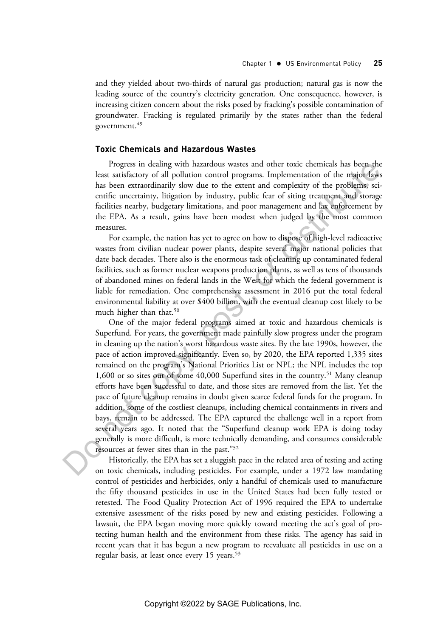and they yielded about two-thirds of natural gas production; natural gas is now the leading source of the country's electricity generation. One consequence, however, is increasing citizen concern about the risks posed by fracking's possible contamination of groundwater. Fracking is regulated primarily by the states rather than the federal government.<sup>49</sup>

## Toxic Chemicals and Hazardous Wastes

Progress in dealing with hazardous wastes and other toxic chemicals has been the least satisfactory of all pollution control programs. Implementation of the major laws has been extraordinarily slow due to the extent and complexity of the problems, scientific uncertainty, litigation by industry, public fear of siting treatment and storage facilities nearby, budgetary limitations, and poor management and lax enforcement by the EPA. As a result, gains have been modest when judged by the most common measures.

For example, the nation has yet to agree on how to dispose of high-level radioactive wastes from civilian nuclear power plants, despite several major national policies that date back decades. There also is the enormous task of cleaning up contaminated federal facilities, such as former nuclear weapons production plants, as well as tens of thousands of abandoned mines on federal lands in the West for which the federal government is liable for remediation. One comprehensive assessment in 2016 put the total federal environmental liability at over \$400 billion, with the eventual cleanup cost likely to be much higher than that.<sup>50</sup>

One of the major federal programs aimed at toxic and hazardous chemicals is Superfund. For years, the government made painfully slow progress under the program in cleaning up the nation's worst hazardous waste sites. By the late 1990s, however, the pace of action improved significantly. Even so, by 2020, the EPA reported 1,335 sites remained on the program's National Priorities List or NPL; the NPL includes the top 1,600 or so sites out of some  $40,000$  Superfund sites in the country.<sup>51</sup> Many cleanup efforts have been successful to date, and those sites are removed from the list. Yet the pace of future cleanup remains in doubt given scarce federal funds for the program. In addition, some of the costliest cleanups, including chemical containments in rivers and bays, remain to be addressed. The EPA captured the challenge well in a report from several years ago. It noted that the "Superfund cleanup work EPA is doing today generally is more difficult, is more technically demanding, and consumes considerable resources at fewer sites than in the past."<sup>52</sup> Progress in decising with hazardon waxes and other took chenchick has because the major functions, the term of the major functions, include the control program. Implementation of the major functions has been emordized pub

Historically, the EPA has set a sluggish pace in the related area of testing and acting on toxic chemicals, including pesticides. For example, under a 1972 law mandating control of pesticides and herbicides, only a handful of chemicals used to manufacture the fifty thousand pesticides in use in the United States had been fully tested or retested. The Food Quality Protection Act of 1996 required the EPA to undertake extensive assessment of the risks posed by new and existing pesticides. Following a lawsuit, the EPA began moving more quickly toward meeting the act's goal of protecting human health and the environment from these risks. The agency has said in recent years that it has begun a new program to reevaluate all pesticides in use on a regular basis, at least once every 15 years.<sup>53</sup>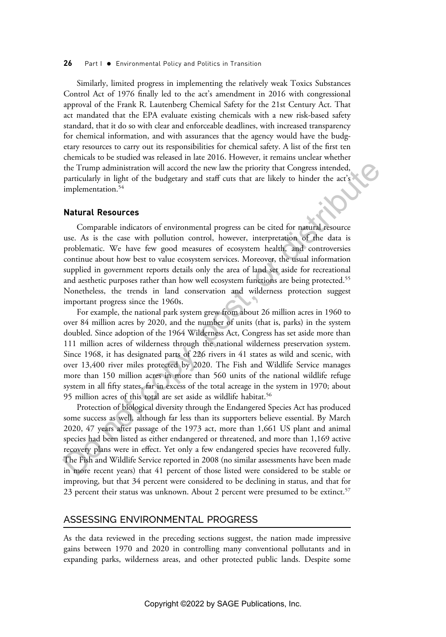Similarly, limited progress in implementing the relatively weak Toxics Substances Control Act of 1976 finally led to the act's amendment in 2016 with congressional approval of the Frank R. Lautenberg Chemical Safety for the 21st Century Act. That act mandated that the EPA evaluate existing chemicals with a new risk-based safety standard, that it do so with clear and enforceable deadlines, with increased transparency for chemical information, and with assurances that the agency would have the budgetary resources to carry out its responsibilities for chemical safety. A list of the first ten chemicals to be studied was released in late 2016. However, it remains unclear whether the Trump administration will accord the new law the priority that Congress intended, particularly in light of the budgetary and staff cuts that are likely to hinder the act's implementation.<sup>54</sup>

#### Natural Resources

Comparable indicators of environmental progress can be cited for natural resource use. As is the case with pollution control, however, interpretation of the data is problematic. We have few good measures of ecosystem health, and controversies continue about how best to value ecosystem services. Moreover, the usual information supplied in government reports details only the area of land set aside for recreational and aesthetic purposes rather than how well ecosystem functions are being protected.<sup>55</sup> Nonetheless, the trends in land conservation and wilderness protection suggest important progress since the 1960s.

For example, the national park system grew from about 26 million acres in 1960 to over 84 million acres by 2020, and the number of units (that is, parks) in the system doubled. Since adoption of the 1964 Wilderness Act, Congress has set aside more than 111 million acres of wilderness through the national wilderness preservation system. Since 1968, it has designated parts of 226 rivers in 41 states as wild and scenic, with over 13,400 river miles protected by 2020. The Fish and Wildlife Service manages more than 150 million acres in more than 560 units of the national wildlife refuge system in all fifty states, far in excess of the total acreage in the system in 1970; about 95 million acres of this total are set aside as wildlife habitat.<sup>56</sup> the Trump administration will accord the new law die priority that Congress interded,<br>
particularly in light of the budgetary and staff cust that are likely to hinder the act's<br>
implementation.<sup>54</sup><br>
Natural Resources<br>
Com

Protection of biological diversity through the Endangered Species Act has produced some success as well, although far less than its supporters believe essential. By March 2020, 47 years after passage of the 1973 act, more than 1,661 US plant and animal species had been listed as either endangered or threatened, and more than 1,169 active recovery plans were in effect. Yet only a few endangered species have recovered fully. The Fish and Wildlife Service reported in 2008 (no similar assessments have been made in more recent years) that 41 percent of those listed were considered to be stable or improving, but that 34 percent were considered to be declining in status, and that for 23 percent their status was unknown. About 2 percent were presumed to be extinct.<sup>57</sup>

## ASSESSING ENVIRONMENTAL PROGRESS

As the data reviewed in the preceding sections suggest, the nation made impressive gains between 1970 and 2020 in controlling many conventional pollutants and in expanding parks, wilderness areas, and other protected public lands. Despite some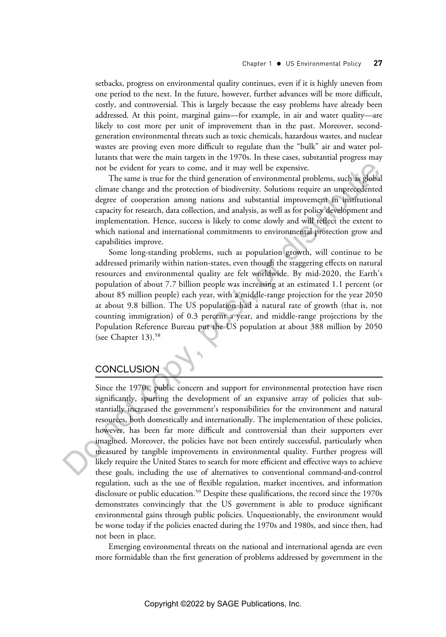setbacks, progress on environmental quality continues, even if it is highly uneven from one period to the next. In the future, however, further advances will be more difficult, costly, and controversial. This is largely because the easy problems have already been addressed. At this point, marginal gains—for example, in air and water quality—are likely to cost more per unit of improvement than in the past. Moreover, secondgeneration environmental threats such as toxic chemicals, hazardous wastes, and nuclear wastes are proving even more difficult to regulate than the "bulk" air and water pollutants that were the main targets in the 1970s. In these cases, substantial progress may not be evident for years to come, and it may well be expensive.

The same is true for the third generation of environmental problems, such as global climate change and the protection of biodiversity. Solutions require an unprecedented degree of cooperation among nations and substantial improvement in institutional capacity for research, data collection, and analysis, as well as for policy development and implementation. Hence, success is likely to come slowly and will reflect the extent to which national and international commitments to environmental protection grow and capabilities improve.

Some long-standing problems, such as population growth, will continue to be addressed primarily within nation-states, even though the staggering effects on natural resources and environmental quality are felt worldwide. By mid-2020, the Earth's population of about 7.7 billion people was increasing at an estimated 1.1 percent (or about 85 million people) each year, with a middle-range projection for the year 2050 at about 9.8 billion. The US population had a natural rate of growth (that is, not counting immigration) of 0.3 percent a year, and middle-range projections by the Population Reference Bureau put the US population at about 388 million by 2050 (see Chapter 13).58

# **CONCLUSION**

Since the 1970s, public concern and support for environmental protection have risen significantly, spurring the development of an expansive array of policies that substantially increased the government's responsibilities for the environment and natural resources, both domestically and internationally. The implementation of these policies, however, has been far more difficult and controversial than their supporters ever imagined. Moreover, the policies have not been entirely successful, particularly when measured by tangible improvements in environmental quality. Further progress will likely require the United States to search for more efficient and effective ways to achieve these goals, including the use of alternatives to conventional command-and-control regulation, such as the use of flexible regulation, market incentives, and information disclosure or public education.<sup>59</sup> Despite these qualifications, the record since the 1970s demonstrates convincingly that the US government is able to produce significant environmental gains through public policies. Unquestionably, the environment would be worse today if the policies enacted during the 1970s and 1980s, and since then, had not been in place. not be evident for years to come, and it may well be experise.<br>The same is one for the third generation of environmental problems, such as globs<br>dimus change and the protection of fiologorstiy. Solutions equivalentes an<br>i

Emerging environmental threats on the national and international agenda are even more formidable than the first generation of problems addressed by government in the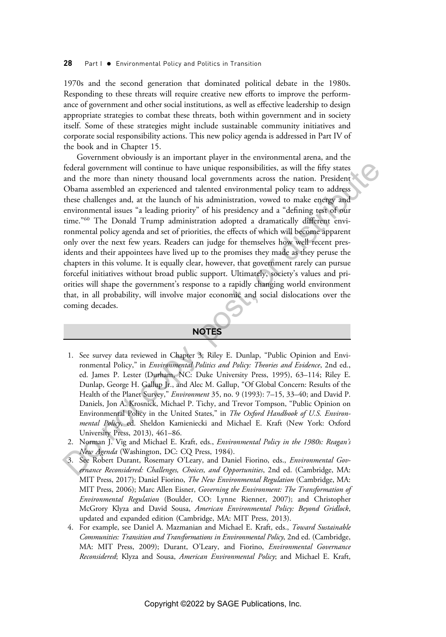1970s and the second generation that dominated political debate in the 1980s. Responding to these threats will require creative new efforts to improve the performance of government and other social institutions, as well as effective leadership to design appropriate strategies to combat these threats, both within government and in society itself. Some of these strategies might include sustainable community initiatives and corporate social responsibility actions. This new policy agenda is addressed in Part IV of the book and in Chapter 15.

Government obviously is an important player in the environmental arena, and the federal government will continue to have unique responsibilities, as will the fifty states and the more than ninety thousand local governments across the nation. President Obama assembled an experienced and talented environmental policy team to address these challenges and, at the launch of his administration, vowed to make energy and environmental issues "a leading priority" of his presidency and a "defining test of our time."<sup>60</sup> The Donald Trump administration adopted a dramatically different environmental policy agenda and set of priorities, the effects of which will become apparent only over the next few years. Readers can judge for themselves how well recent presidents and their appointees have lived up to the promises they made as they peruse the chapters in this volume. It is equally clear, however, that government rarely can pursue forceful initiatives without broad public support. Ultimately, society's values and priorities will shape the government's response to a rapidly changing world environment that, in all probability, will involve major economic and social dislocations over the coming decades. fecter government will continue to have unique responsibilities, as will the fifty states<br>can decrease the matery houseals deal governments across the mation. President<br>Copyright and experimental policy is the base of the

**NOTES** 

- 1. See survey data reviewed in Chapter 3; Riley E. Dunlap, "Public Opinion and Environmental Policy," in Environmental Politics and Policy: Theories and Evidence, 2nd ed., ed. James P. Lester (Durham, NC: Duke University Press, 1995), 63–114; Riley E. Dunlap, George H. Gallup Jr., and Alec M. Gallup, "Of Global Concern: Results of the Health of the Planet Survey," Environment 35, no. 9 (1993): 7–15, 33–40; and David P. Daniels, Jon A. Krosnick, Michael P. Tichy, and Trevor Tompson, "Public Opinion on Environmental Policy in the United States," in The Oxford Handbook of U.S. Environmental Policy, ed. Sheldon Kamieniecki and Michael E. Kraft (New York: Oxford University Press, 2013), 461–86.
- 2. Norman J. Vig and Michael E. Kraft, eds., Environmental Policy in the 1980s: Reagan's New Agenda (Washington, DC: CQ Press, 1984).
- 3. See Robert Durant, Rosemary O'Leary, and Daniel Fiorino, eds., Environmental Governance Reconsidered: Challenges, Choices, and Opportunities, 2nd ed. (Cambridge, MA: MIT Press, 2017); Daniel Fiorino, The New Environmental Regulation (Cambridge, MA: MIT Press, 2006); Marc Allen Eisner, Governing the Environment: The Transformation of Environmental Regulation (Boulder, CO: Lynne Rienner, 2007); and Christopher McGrory Klyza and David Sousa, American Environmental Policy: Beyond Gridlock, updated and expanded edition (Cambridge, MA: MIT Press, 2013).
- 4. For example, see Daniel A. Mazmanian and Michael E. Kraft, eds., Toward Sustainable Communities: Transition and Transformations in Environmental Policy, 2nd ed. (Cambridge, MA: MIT Press, 2009); Durant, O'Leary, and Fiorino, Environmental Governance Reconsidered; Klyza and Sousa, American Environmental Policy; and Michael E. Kraft,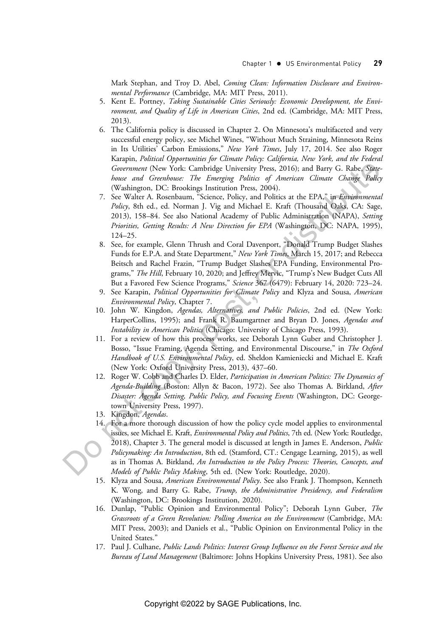Mark Stephan, and Troy D. Abel, Coming Clean: Information Disclosure and Environmental Performance (Cambridge, MA: MIT Press, 2011).

- 5. Kent E. Portney, Taking Sustainable Cities Seriously: Economic Development, the Environment, and Quality of Life in American Cities, 2nd ed. (Cambridge, MA: MIT Press, 2013).
- 6. The California policy is discussed in Chapter 2. On Minnesota's multifaceted and very successful energy policy, see Michel Wines, "Without Much Straining, Minnesota Reins in Its Utilities' Carbon Emissions," New York Times, July 17, 2014. See also Roger Karapin, Political Opportunities for Climate Policy: California, New York, and the Federal Government (New York: Cambridge University Press, 2016); and Barry G. Rabe, Statehouse and Greenhouse: The Emerging Politics of American Climate Change Policy (Washington, DC: Brookings Institution Press, 2004).
- 7. See Walter A. Rosenbaum, "Science, Policy, and Politics at the EPA," in Environmental Policy, 8th ed., ed. Norman J. Vig and Michael E. Kraft (Thousand Oaks, CA: Sage, 2013), 158–84. See also National Academy of Public Administration (NAPA), Setting Priorities, Getting Results: A New Direction for EPA (Washington, DC: NAPA, 1995), 124–25.
- 8. See, for example, Glenn Thrush and Coral Davenport, "Donald Trump Budget Slashes Funds for E.P.A. and State Department," New York Times, March 15, 2017; and Rebecca Beitsch and Rachel Frazin, "Trump Budget Slashes EPA Funding, Environmental Programs," *The Hill*, February 10, 2020; and Jeffrey Mervic, "Trump's New Budget Cuts All But a Favored Few Science Programs," Science 367 (6479): February 14, 2020: 723–24.
- 9. See Karapin, *Political Opportunities for Climate Policy* and Klyza and Sousa, American Environmental Policy, Chapter 7.
- 10. John W. Kingdon, Agendas, Alternatives, and Public Policies, 2nd ed. (New York: HarperCollins, 1995); and Frank R. Baumgartner and Bryan D. Jones, Agendas and Instability in American Politics (Chicago: University of Chicago Press, 1993).
- 11. For a review of how this process works, see Deborah Lynn Guber and Christopher J. Bosso, "Issue Framing, Agenda Setting, and Environmental Discourse," in The Oxford Handbook of U.S. Environmental Policy, ed. Sheldon Kamieniecki and Michael E. Kraft (New York: Oxford University Press, 2013), 437–60.
- 12. Roger W. Cobb and Charles D. Elder, *Participation in American Politics: The Dynamics of* Agenda-Building (Boston: Allyn & Bacon, 1972). See also Thomas A. Birkland, After Disaster: Agenda Setting, Public Policy, and Focusing Events (Washington, DC: Georgetown University Press, 1997).
- 13. Kingdon, Agendas.
- 14. For a more thorough discussion of how the policy cycle model applies to environmental issues, see Michael E. Kraft, *Environmental Policy and Politics*, 7th ed. (New York: Routledge, 2018), Chapter 3. The general model is discussed at length in James E. Anderson, Public Policymaking: An Introduction, 8th ed. (Stamford, CT.: Cengage Learning, 2015), as well as in Thomas A. Birkland, An Introduction to the Policy Process: Theories, Concepts, and Models of Public Policy Making, 5th ed. (New York: Routledge, 2020). Convenerate (New Constant) Public Constant (New York: Calculation) C. Books Copy, and Hirary Copyright (Nathara), D.C. Booksing Institution Press, 2004), and Hirary Copyright Constant (New York: New York: New York: New Yo
	- 15. Klyza and Sousa, American Environmental Policy. See also Frank J. Thompson, Kenneth K. Wong, and Barry G. Rabe, Trump, the Administrative Presidency, and Federalism (Washington, DC: Brookings Institution, 2020).
	- 16. Dunlap, "Public Opinion and Environmental Policy"; Deborah Lynn Guber, The Grassroots of a Green Revolution: Polling America on the Environment (Cambridge, MA: MIT Press, 2003); and Daniels et al., "Public Opinion on Environmental Policy in the United States."
	- 17. Paul J. Culhane, Public Lands Politics: Interest Group Influence on the Forest Service and the Bureau of Land Management (Baltimore: Johns Hopkins University Press, 1981). See also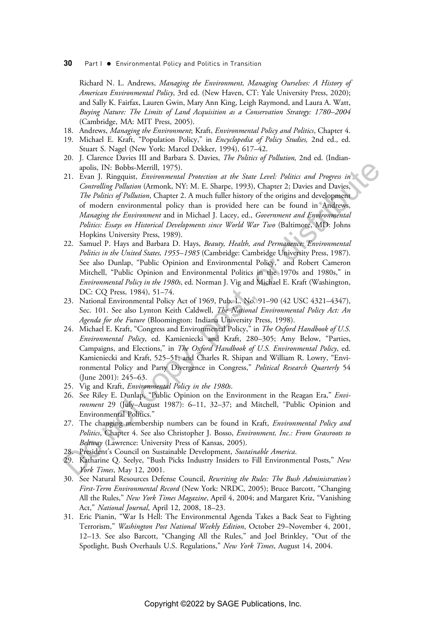Richard N. L. Andrews, Managing the Environment, Managing Ourselves: A History of American Environmental Policy, 3rd ed. (New Haven, CT: Yale University Press, 2020); and Sally K. Fairfax, Lauren Gwin, Mary Ann King, Leigh Raymond, and Laura A. Watt, Buying Nature: The Limits of Land Acquisition as a Conservation Strategy: 1780–2004 (Cambridge, MA: MIT Press, 2005).

- 18. Andrews, Managing the Environment; Kraft, Environmental Policy and Politics, Chapter 4.
- 19. Michael E. Kraft, "Population Policy," in Encyclopedia of Policy Studies, 2nd ed., ed. Stuart S. Nagel (New York: Marcel Dekker, 1994), 617–42.
- 20. J. Clarence Davies III and Barbara S. Davies, The Politics of Pollution, 2nd ed. (Indianapolis, IN: Bobbs-Merrill, 1975).
- 21. Evan J. Ringquist, Environmental Protection at the State Level: Politics and Progress in Controlling Pollution (Armonk, NY: M. E. Sharpe, 1993), Chapter 2; Davies and Davies, The Politics of Pollution, Chapter 2. A much fuller history of the origins and development of modern environmental policy than is provided here can be found in Andrews, Managing the Environment and in Michael J. Lacey, ed., Government and Environmental Politics: Essays on Historical Developments since World War Two (Baltimore, MD: Johns Hopkins University Press, 1989). prob. IN: holds by Satter Linesing in the Satter Linesian and Satter Linesian and Depress.<br>21. Evan J. Ringham, Environmental Protections at the Satter Level: Politics and Developmental Community (Notices (Armore, IN: M.
- 22. Samuel P. Hays and Barbara D. Hays, Beauty, Health, and Permanence: Environmental Politics in the United States, 1955-1985 (Cambridge: Cambridge University Press, 1987). See also Dunlap, "Public Opinion and Environmental Policy," and Robert Cameron Mitchell, "Public Opinion and Environmental Politics in the 1970s and 1980s," in Environmental Policy in the 1980s, ed. Norman J. Vig and Michael E. Kraft (Washington, DC: CQ Press, 1984), 51–74.
- 23. National Environmental Policy Act of 1969, Pub. L. No. 91–90 (42 USC 4321–4347), Sec. 101. See also Lynton Keith Caldwell, The National Environmental Policy Act: An Agenda for the Future (Bloomington: Indiana University Press, 1998).
- 24. Michael E. Kraft, "Congress and Environmental Policy," in The Oxford Handbook of U.S. Environmental Policy, ed. Kamieniecki and Kraft, 280–305; Amy Below, "Parties, Campaigns, and Elections," in The Oxford Handbook of U.S. Environmental Policy, ed. Kamieniecki and Kraft, 525–51; and Charles R. Shipan and William R. Lowry, "Environmental Policy and Party Divergence in Congress," Political Research Quarterly 54 (June 2001): 245–63.
- 25. Vig and Kraft, Environmental Policy in the 1980s.
- 26. See Riley E. Dunlap, "Public Opinion on the Environment in the Reagan Era," Environment 29 (July–August 1987): 6–11, 32–37; and Mitchell, "Public Opinion and Environmental Politics."
- 27. The changing membership numbers can be found in Kraft, Environmental Policy and Politics, Chapter 4. See also Christopher J. Bosso, *Environment, Inc.: From Grassroots to* Beltway (Lawrence: University Press of Kansas, 2005).
- 28. President's Council on Sustainable Development, Sustainable America.
- 29. Katharine Q. Seelye, "Bush Picks Industry Insiders to Fill Environmental Posts," New York Times, May 12, 2001.
- 30. See Natural Resources Defense Council, Rewriting the Rules: The Bush Administration's First-Term Environmental Record (New York: NRDC, 2005); Bruce Barcott, "Changing All the Rules," New York Times Magazine, April 4, 2004; and Margaret Kriz, "Vanishing Act," National Journal, April 12, 2008, 18–23.
- 31. Eric Pianin, "War Is Hell: The Environmental Agenda Takes a Back Seat to Fighting Terrorism," Washington Post National Weekly Edition, October 29–November 4, 2001, 12–13. See also Barcott, "Changing All the Rules," and Joel Brinkley, "Out of the Spotlight, Bush Overhauls U.S. Regulations," New York Times, August 14, 2004.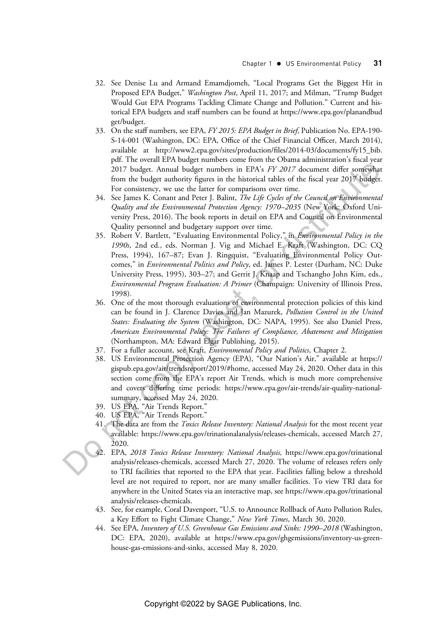- 32. See Denise Lu and Armand Emamdjomeh, "Local Programs Get the Biggest Hit in Proposed EPA Budget," Washington Post, April 11, 2017; and Milman, "Trump Budget Would Gut EPA Programs Tackling Climate Change and Pollution." Current and historical EPA budgets and staff numbers can be found at https://www.epa.gov/planandbud get/budget.
- 33. On the staff numbers, see EPA, FY 2015: EPA Budget in Brief, Publication No. EPA-190-S-14-001 (Washington, DC: EPA, Office of the Chief Financial Officer, March 2014), available at http://www2.epa.gov/sites/production/files/2014-03/documents/fy15\_bib. pdf. The overall EPA budget numbers come from the Obama administration's fiscal year 2017 budget. Annual budget numbers in EPA's FY 2017 document differ somewhat from the budget authority figures in the historical tables of the fiscal year 2017 budget. For consistency, we use the latter for comparisons over time.
- 34. See James K. Conant and Peter J. Balint, The Life Cycles of the Council on Environmental Quality and the Environmental Protection Agency: 1970–2035 (New York: Oxford University Press, 2016). The book reports in detail on EPA and Council on Environmental Quality personnel and budgetary support over time.
- 35. Robert V. Bartlett, "Evaluating Environmental Policy," in Environmental Policy in the 1990s, 2nd ed., eds. Norman J. Vig and Michael E. Kraft (Washington, DC: CQ Press, 1994), 167–87; Evan J. Ringquist, "Evaluating Environmental Policy Outcomes," in Environmental Politics and Policy, ed. James P. Lester (Durham, NC: Duke University Press, 1995), 303–27; and Gerrit J. Knaap and Tschangho John Kim, eds., Environmental Program Evaluation: A Primer (Champaign: University of Illinois Press, 1998). 2011) Indepth Arman budger multions, Inc. Not  $N/2$  (2022) document differ some controller and budger and<br>budger and budger and budger and budger is the bisorical tables of the Scotl year 2017 budget<br>For consistency, we u
	- 36. One of the most thorough evaluations of environmental protection policies of this kind can be found in J. Clarence Davies and Jan Mazurek, Pollution Control in the United States: Evaluating the System (Washington, DC: NAPA, 1995). See also Daniel Press, American Environmental Policy: The Failures of Compliance, Abatement and Mitigation (Northampton, MA: Edward Elgar Publishing, 2015).
	- 37. For a fuller account, see Kraft, *Environmental Policy and Politics*, Chapter 2.
	- 38. US Environmental Protection Agency (EPA), "Our Nation's Air," available at https:// gispub.epa.gov/air/trendsreport/2019/#home, accessed May 24, 2020. Other data in this section come from the EPA's report Air Trends, which is much more comprehensive and covers differing time periods: https://www.epa.gov/air-trends/air-quality-nationalsummary, accessed May 24, 2020.
	- 39. US EPA, "Air Trends Report."
	- 40. US EPA, "Air Trends Report."
	- 41. The data are from the *Toxics Release Inventory: National Analysis* for the most recent year available: https://www.epa.gov/trinationalanalysis/releases-chemicals, accessed March 27, 2020.
	- 42. EPA, 2018 Toxics Release Inventory: National Analysis, https://www.epa.gov/trinational analysis/releases-chemicals, accessed March 27, 2020. The volume of releases refers only to TRI facilities that reported to the EPA that year. Facilities falling below a threshold level are not required to report, nor are many smaller facilities. To view TRI data for anywhere in the United States via an interactive map, see https://www.epa.gov/trinational analysis/releases-chemicals.
	- 43. See, for example, Coral Davenport, "U.S. to Announce Rollback of Auto Pollution Rules, a Key Effort to Fight Climate Change," New York Times, March 30, 2020.
	- 44. See EPA, Inventory of U.S. Greenhouse Gas Emissions and Sinks: 1990–2018 (Washington, DC: EPA, 2020), available at https://www.epa.gov/ghgemissions/inventory-us-greenhouse-gas-emissions-and-sinks, accessed May 8, 2020.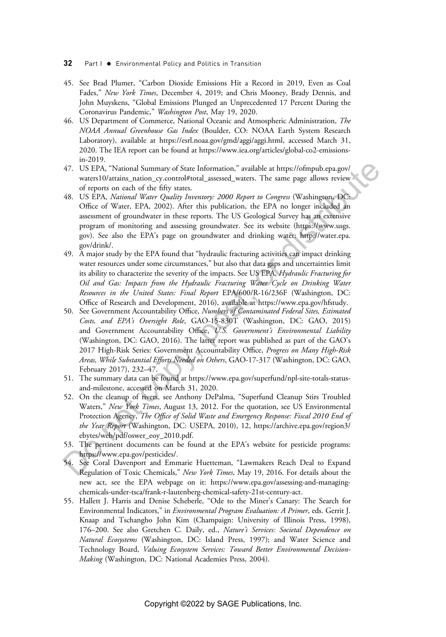- 32 Part I Environmental Policy and Politics in Transition
- 45. See Brad Plumer, "Carbon Dioxide Emissions Hit a Record in 2019, Even as Coal Fades," New York Times, December 4, 2019; and Chris Mooney, Brady Dennis, and John Muyskens, "Global Emissions Plunged an Unprecedented 17 Percent During the Coronavirus Pandemic," Washington Post, May 19, 2020.
- 46. US Department of Commerce, National Oceanic and Atmospheric Administration, The NOAA Annual Greenhouse Gas Index (Boulder, CO: NOAA Earth System Research Laboratory), available at https://esrl.noaa.gov/gmd/aggi/aggi.html, accessed March 31, 2020. The IEA report can be found at https://www.iea.org/articles/global-co2-emissionsin-2019.
- 47. US EPA, "National Summary of State Information," available at https://ofmpub.epa.gov/ waters10/attains\_nation\_cy.control#total\_assessed\_waters. The same page allows review of reports on each of the fifty states.
- 48. US EPA, National Water Quality Inventory: 2000 Report to Congress (Washington, DC: Office of Water, EPA, 2002). After this publication, the EPA no longer included an assessment of groundwater in these reports. The US Geological Survey has an extensive program of monitoring and assessing groundwater. See its website (https://www.usgs. gov). See also the EPA's page on groundwater and drinking water: http://water.epa. gov/drink/.
- 49. A major study by the EPA found that "hydraulic fracturing activities can impact drinking water resources under some circumstances," but also that data gaps and uncertainties limit its ability to characterize the severity of the impacts. See US EPA, Hydraulic Fracturing for Oil and Gas: Impacts from the Hydraulic Fracturing Water Cycle on Drinking Water Resources in the United States: Final Report EPA/600/R-16/236F (Washington, DC: Office of Research and Development, 2016), available at https://www.epa.gov/hfstudy.
- 50. See Government Accountability Office, Numbers of Contaminated Federal Sites, Estimated Costs, and EPA's Oversight Role, GAO-15-830T (Washington, DC: GAO, 2015) and Government Accountability Office, U.S. Government's Environmental Liability (Washington, DC: GAO, 2016). The latter report was published as part of the GAO's 2017 High-Risk Series: Government Accountability Office, Progress on Many High-Risk Areas, While Substantial Efforts Needed on Others, GAO-17-317 (Washington, DC: GAO, February 2017), 232–47. 47. US: Kirkingth Stantard (Stantard Munitimation, Pasikinki at lange-forfample,<br>praise of the copyright State Information, The lange-forfample, posterior of the Griventa-Bubi<br>ation, the comparison of the Griventa-Bubi co
- 51. The summary data can be found at https://www.epa.gov/superfund/npl-site-totals-statusand-milestone, accessed on March 31, 2020.
- 52. On the cleanup of rivers, see Anthony DePalma, "Superfund Cleanup Stirs Troubled Waters," New York Times, August 13, 2012. For the quotation, see US Environmental Protection Agency, The Office of Solid Waste and Emergency Response: Fiscal 2010 End of the Year Report (Washington, DC: USEPA, 2010), 12, https://archive.epa.gov/region3/ ebytes/web/pdf/oswer\_eoy\_2010.pdf.
- 53. The pertinent documents can be found at the EPA's website for pesticide programs: https://www.epa.gov/pesticides/.
- 54. See Coral Davenport and Emmarie Huetteman, "Lawmakers Reach Deal to Expand Regulation of Toxic Chemicals," New York Times, May 19, 2016. For details about the new act, see the EPA webpage on it: https://www.epa.gov/assessing-and-managingchemicals-under-tsca/frank-r-lautenberg-chemical-safety-21st-century-act.
- 55. Hallett J. Harris and Denise Scheberle, "Ode to the Miner's Canary: The Search for Environmental Indicators," in Environmental Program Evaluation: A Primer, eds. Gerrit J. Knaap and Tschangho John Kim (Champaign: University of Illinois Press, 1998), 176–200. See also Gretchen C. Daily, ed., Nature's Services: Societal Dependence on Natural Ecosystems (Washington, DC: Island Press, 1997); and Water Science and Technology Board, Valuing Ecosystem Services: Toward Better Environmental Decision-Making (Washington, DC: National Academies Press, 2004).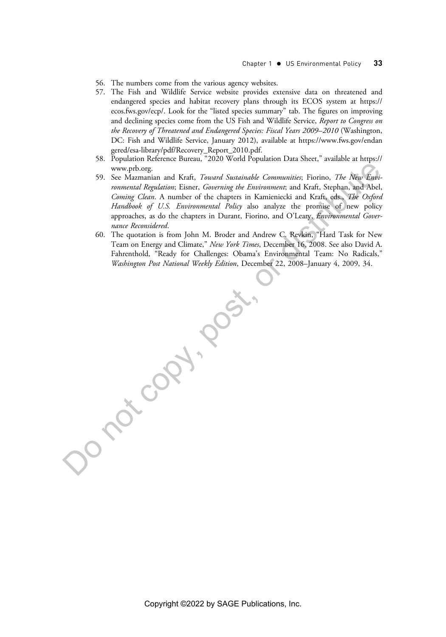- 56. The numbers come from the various agency websites.
- 57. The Fish and Wildlife Service website provides extensive data on threatened and endangered species and habitat recovery plans through its ECOS system at https:// ecos.fws.gov/ecp/. Look for the "listed species summary" tab. The figures on improving and declining species come from the US Fish and Wildlife Service, Report to Congress on the Recovery of Threatened and Endangered Species: Fiscal Years 2009–2010 (Washington, DC: Fish and Wildlife Service, January 2012), available at https://www.fws.gov/endan gered/esa-library/pdf/Recovery\_Report\_2010.pdf.
- 58. Population Reference Bureau, "2020 World Population Data Sheet," available at https:// www.prb.org.
- 59. See Mazmanian and Kraft, Toward Sustainable Communities; Fiorino, The New Environmental Regulation; Eisner, Governing the Environment; and Kraft, Stephan, and Abel, Coming Clean. A number of the chapters in Kamieniecki and Kraft, eds., The Oxford Handbook of U.S. Environmental Policy also analyze the promise of new policy approaches, as do the chapters in Durant, Fiorino, and O'Leary, Environmental Governance Reconsidered.
- 60. The quotation is from John M. Broder and Andrew C. Revkin, "Hard Task for New Team on Energy and Climate," New York Times, December 16, 2008. See also David A. Fahrenthold, "Ready for Challenges: Obama's Environmental Team: No Radicals," Washington Post National Weekly Edition, December 22, 2008–January 4, 2009, 34. Copyright ©2022 by SAGE Publications, Inc.